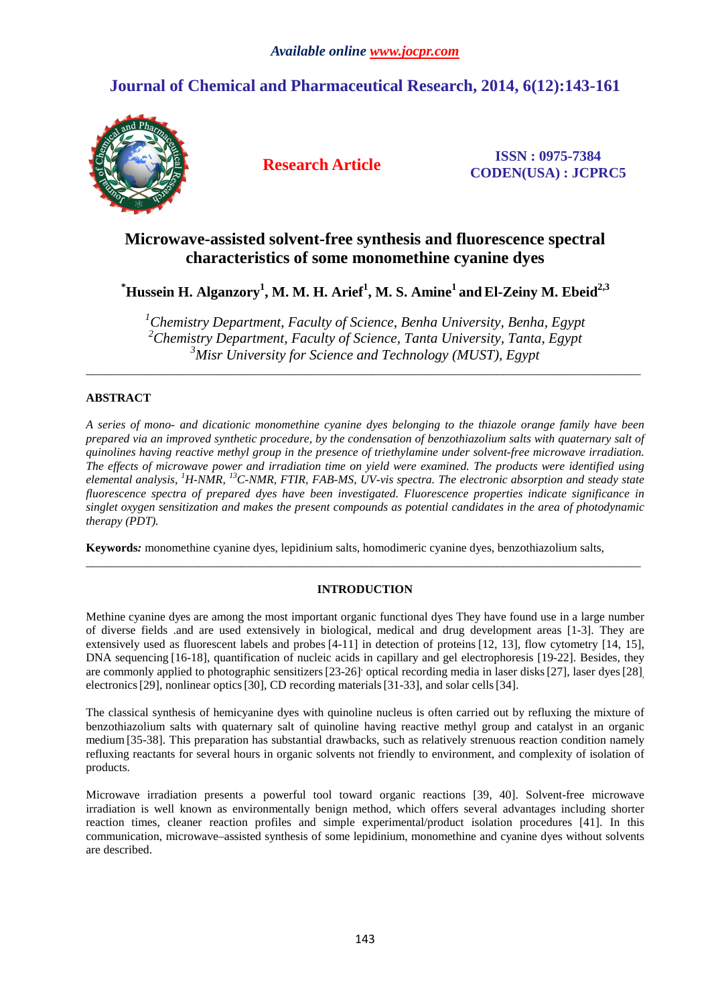# **Journal of Chemical and Pharmaceutical Research, 2014, 6(12):143-161**



**Research Article ISSN : 0975-7384 CODEN(USA) : JCPRC5**

# **Microwave-assisted solvent-free synthesis and fluorescence spectral characteristics of some monomethine cyanine dyes**

# $^*$ Hussein H. Alganzory<sup>1</sup>, M. M. H. Arief $^1$ , M. S. Amine $^1$  and El-Zeiny M. Ebeid $^{2,3}$

*<sup>1</sup>Chemistry Department, Faculty of Science, Benha University, Benha, Egypt* <sup>2</sup> Chemistry Department, Faculty of Science, Tanta University, Tanta, Egypt *<sup>3</sup>Misr University for Science and Technology (MUST), Egypt* 

\_\_\_\_\_\_\_\_\_\_\_\_\_\_\_\_\_\_\_\_\_\_\_\_\_\_\_\_\_\_\_\_\_\_\_\_\_\_\_\_\_\_\_\_\_\_\_\_\_\_\_\_\_\_\_\_\_\_\_\_\_\_\_\_\_\_\_\_\_\_\_\_\_\_\_\_\_\_\_\_\_\_\_\_\_\_\_\_\_\_\_\_\_

# **ABSTRACT**

*A series of mono- and dicationic monomethine cyanine dyes belonging to the thiazole orange family have been prepared via an improved synthetic procedure, by the condensation of benzothiazolium salts with quaternary salt of quinolines having reactive methyl group in the presence of triethylamine under solvent-free microwave irradiation. The effects of microwave power and irradiation time on yield were examined. The products were identified using elemental analysis, <sup>1</sup>H-NMR, <sup>13</sup>C-NMR, FTIR, FAB-MS, UV-vis spectra. The electronic absorption and steady state fluorescence spectra of prepared dyes have been investigated. Fluorescence properties indicate significance in singlet oxygen sensitization and makes the present compounds as potential candidates in the area of photodynamic therapy (PDT).* 

**Keywords***:* monomethine cyanine dyes, lepidinium salts, homodimeric cyanine dyes, benzothiazolium salts,

# **INTRODUCTION**

\_\_\_\_\_\_\_\_\_\_\_\_\_\_\_\_\_\_\_\_\_\_\_\_\_\_\_\_\_\_\_\_\_\_\_\_\_\_\_\_\_\_\_\_\_\_\_\_\_\_\_\_\_\_\_\_\_\_\_\_\_\_\_\_\_\_\_\_\_\_\_\_\_\_\_\_\_\_\_\_\_\_\_\_\_\_\_\_\_\_\_\_\_

Methine cyanine dyes are among the most important organic functional dyes They have found use in a large number of diverse fields .and are used extensively in biological, medical and drug development areas [1-3]. They are extensively used as fluorescent labels and probes [4-11] in detection of proteins [12, 13], flow cytometry [14, 15], DNA sequencing [16-18], quantification of nucleic acids in capillary and gel electrophoresis [19-22]. Besides, they are commonly applied to photographic sensitizers [23-26] optical recording media in laser disks [27], laser dyes [28] electronics [29], nonlinear optics [30], CD recording materials [31-33], and solar cells [34].

The classical synthesis of hemicyanine dyes with quinoline nucleus is often carried out by refluxing the mixture of benzothiazolium salts with quaternary salt of quinoline having reactive methyl group and catalyst in an organic medium [35-38]. This preparation has substantial drawbacks, such as relatively strenuous reaction condition namely refluxing reactants for several hours in organic solvents not friendly to environment, and complexity of isolation of products.

Microwave irradiation presents a powerful tool toward organic reactions [39, 40]. Solvent-free microwave irradiation is well known as environmentally benign method, which offers several advantages including shorter reaction times, cleaner reaction profiles and simple experimental/product isolation procedures [41]. In this communication, microwave–assisted synthesis of some lepidinium, monomethine and cyanine dyes without solvents are described.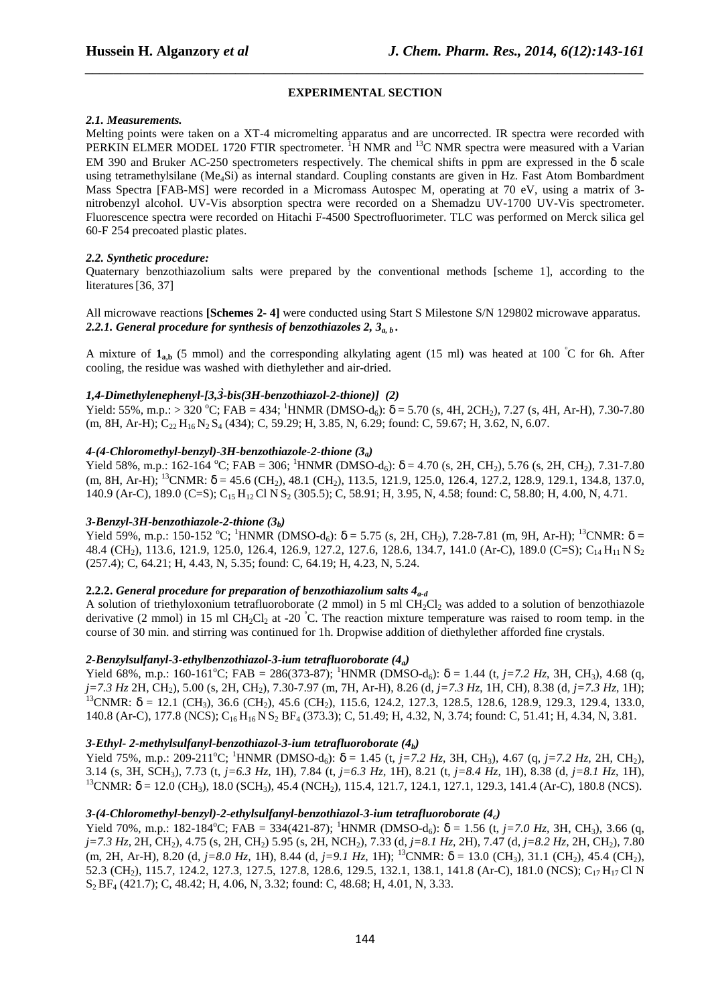#### **EXPERIMENTAL SECTION**

*\_\_\_\_\_\_\_\_\_\_\_\_\_\_\_\_\_\_\_\_\_\_\_\_\_\_\_\_\_\_\_\_\_\_\_\_\_\_\_\_\_\_\_\_\_\_\_\_\_\_\_\_\_\_\_\_\_\_\_\_\_\_\_\_\_\_\_\_\_\_\_\_\_\_\_\_\_\_*

#### *2.1. Measurements.*

Melting points were taken on a XT-4 micromelting apparatus and are uncorrected. IR spectra were recorded with PERKIN ELMER MODEL 1720 FTIR spectrometer. <sup>1</sup>H NMR and <sup>13</sup>C NMR spectra were measured with a Varian EM 390 and Bruker AC-250 spectrometers respectively. The chemical shifts in ppm are expressed in the  $\delta$  scale using tetramethylsilane (Me<sub>4</sub>Si) as internal standard. Coupling constants are given in Hz. Fast Atom Bombardment Mass Spectra [FAB-MS] were recorded in a Micromass Autospec M, operating at 70 eV, using a matrix of 3 nitrobenzyl alcohol. UV-Vis absorption spectra were recorded on a Shemadzu UV-1700 UV-Vis spectrometer. Fluorescence spectra were recorded on Hitachi F-4500 Spectrofluorimeter. TLC was performed on Merck silica gel 60-F 254 precoated plastic plates.

### *2.2. Synthetic procedure:*

Quaternary benzothiazolium salts were prepared by the conventional methods [scheme 1], according to the literatures<sup>[36, 37]</sup>

### All microwave reactions **[Schemes 2- 4]** were conducted using Start S Milestone S/N 129802 microwave apparatus. *2.2.1. General procedure for synthesis of benzothiazoles 2, 3a, b .*

A mixture of  $\mathbf{1}_{a,b}$  (5 mmol) and the corresponding alkylating agent (15 ml) was heated at 100 °C for 6h. After cooling, the residue was washed with diethylether and air-dried.

#### *1,4-Dimethylenephenyl-[3,3̀-bis(3H-benzothiazol-2-thione)] (2)*

Yield: 55%, m.p.: > 320 °C; FAB = 434; <sup>1</sup>HNMR (DMSO-d<sub>6</sub>):  $\delta$  = 5.70 (s, 4H, 2CH<sub>2</sub>), 7.27 (s, 4H, Ar-H), 7.30-7.80  $(m, 8H, Ar-H); C_{22} H_{16} N_2 S_4 (434); C, 59.29; H, 3.85, N, 6.29; found: C, 59.67; H, 3.62, N, 6.07.$ 

#### *4-(4-Chloromethyl-benzyl)-3H-benzothiazole-2-thione (3a)*

Yield 58%, m.p.: 162-164 °C; FAB = 306; <sup>1</sup>HNMR (DMSO-d<sub>6</sub>):  $\delta$  = 4.70 (s, 2H, CH<sub>2</sub>), 5.76 (s, 2H, CH<sub>2</sub>), 7.31-7.80 (m, 8H, Ar-H); <sup>13</sup>CNMR:  $\delta$  = 45.6 (CH<sub>2</sub>), 48.1 (CH<sub>2</sub>), 113.5, 121.9, 125.0, 126.4, 127.2, 128.9, 129.1, 134.8, 137.0, 140.9 (Ar-C), 189.0 (C=S); C<sub>15</sub> H<sub>12</sub> Cl N S<sub>2</sub> (305.5); C, 58.91; H, 3.95, N, 4.58; found: C, 58.80; H, 4.00, N, 4.71.

#### *3-Benzyl-3H-benzothiazole-2-thione (3b)*

Yield 59%, m.p.: 150-152 °C; <sup>1</sup>HNMR (DMSO-d<sub>6</sub>):  $\delta$  = 5.75 (s, 2H, CH<sub>2</sub>), 7.28-7.81 (m, 9H, Ar-H); <sup>13</sup>CNMR:  $\delta$  = 48.4 (CH<sub>2</sub>), 113.6, 121.9, 125.0, 126.4, 126.9, 127.2, 127.6, 128.6, 134.7, 141.0 (Ar-C), 189.0 (C=S); C<sub>14</sub> H<sub>11</sub> N S<sub>2</sub> (257.4); C, 64.21; H, 4.43, N, 5.35; found: C, 64.19; H, 4.23, N, 5.24.

# **2.2.2.** *General procedure for preparation of benzothiazolium salts 4a-d*

A solution of triethyloxonium tetrafluoroborate (2 mmol) in 5 ml CH<sub>2</sub>Cl<sub>2</sub> was added to a solution of benzothiazole derivative (2 mmol) in 15 ml CH<sub>2</sub>Cl<sub>2</sub> at -20 °C. The reaction mixture temperature was raised to room temp. in the course of 30 min. and stirring was continued for 1h. Dropwise addition of diethylether afforded fine crystals.

#### *2-Benzylsulfanyl-3-ethylbenzothiazol-3-ium tetrafluoroborate (4a)*

Yield 68%, m.p.: 160-161<sup>o</sup>C; FAB = 286(373-87); <sup>1</sup>HNMR (DMSO-d<sub>6</sub>):  $\delta$  = 1.44 (t, *j*=7.2 Hz, 3H, CH<sub>3</sub>), 4.68 (q, *j=7.3 Hz* 2H, CH2), 5.00 (s, 2H, CH2), 7.30-7.97 (m, 7H, Ar-H), 8.26 (d, *j=7.3 Hz*, 1H, CH), 8.38 (d, *j=7.3 Hz*, 1H); <sup>13</sup>CNMR: δ = 12.1 (CH<sub>3</sub>), 36.6 (CH<sub>2</sub>), 45.6 (CH<sub>2</sub>), 115.6, 124.2, 127.3, 128.5, 128.6, 128.9, 129.3, 129.4, 133.0, 140.8 (Ar-C), 177.8 (NCS); C<sub>16</sub> H<sub>16</sub> N S<sub>2</sub> BF<sub>4</sub> (373.3); C, 51.49; H, 4.32, N, 3.74; found: C, 51.41; H, 4.34, N, 3.81.

### *3-Ethyl- 2-methylsulfanyl-benzothiazol-3-ium tetrafluoroborate (4b)*

Yield 75%, m.p.: 209-211<sup>o</sup>C; <sup>1</sup>HNMR (DMSO-d<sub>6</sub>):  $\delta = 1.45$  (t, *j*=7.2 Hz, 3H, CH<sub>3</sub>), 4.67 (q, *j*=7.2 Hz, 2H, CH<sub>2</sub>), 3.14 (s, 3H, SCH3), 7.73 (t, *j=6.3 Hz,* 1H), 7.84 (t, *j=6.3 Hz,* 1H), 8.21 (t, *j=8.4 Hz,* 1H), 8.38 (d, *j=8.1 Hz,* 1H), <sup>13</sup>CNMR: δ = 12.0 (CH<sub>3</sub>), 18.0 (SCH<sub>3</sub>), 45.4 (NCH<sub>2</sub>), 115.4, 121.7, 124.1, 127.1, 129.3, 141.4 (Ar-C), 180.8 (NCS).

### *3-(4-Chloromethyl-benzyl)-2-ethylsulfanyl-benzothiazol-3-ium tetrafluoroborate (4c)*

Yield 70%, m.p.: 182-184<sup>o</sup>C; FAB = 334(421-87); <sup>1</sup>HNMR (DMSO-d<sub>6</sub>):  $\delta$  = 1.56 (t, *j*=7.0 Hz, 3H, CH<sub>3</sub>), 3.66 (q, *j*=7.3 Hz, 2H, CH<sub>2</sub>), 4.75 (s, 2H, CH<sub>2</sub>) 5.95 (s, 2H, NCH<sub>2</sub>), 7.33 (d, *j*=8.1 Hz, 2H), 7.47 (d, *j*=8.2 Hz, 2H, CH<sub>2</sub>), 7.80 (m, 2H, Ar-H), 8.20 (d,  $j=8.0$  Hz, 1H), 8.44 (d,  $j=9.1$  Hz, 1H); <sup>13</sup>CNMR:  $\delta = 13.0$  (CH<sub>3</sub>), 31.1 (CH<sub>2</sub>), 45.4 (CH<sub>2</sub>), 52.3 (CH<sub>2</sub>), 115.7, 124.2, 127.3, 127.5, 127.8, 128.6, 129.5, 132.1, 138.1, 141.8 (Ar-C), 181.0 (NCS); C<sub>17</sub> H<sub>17</sub> Cl N S2 BF4 (421.7); C, 48.42; H, 4.06, N, 3.32; found: C, 48.68; H, 4.01, N, 3.33.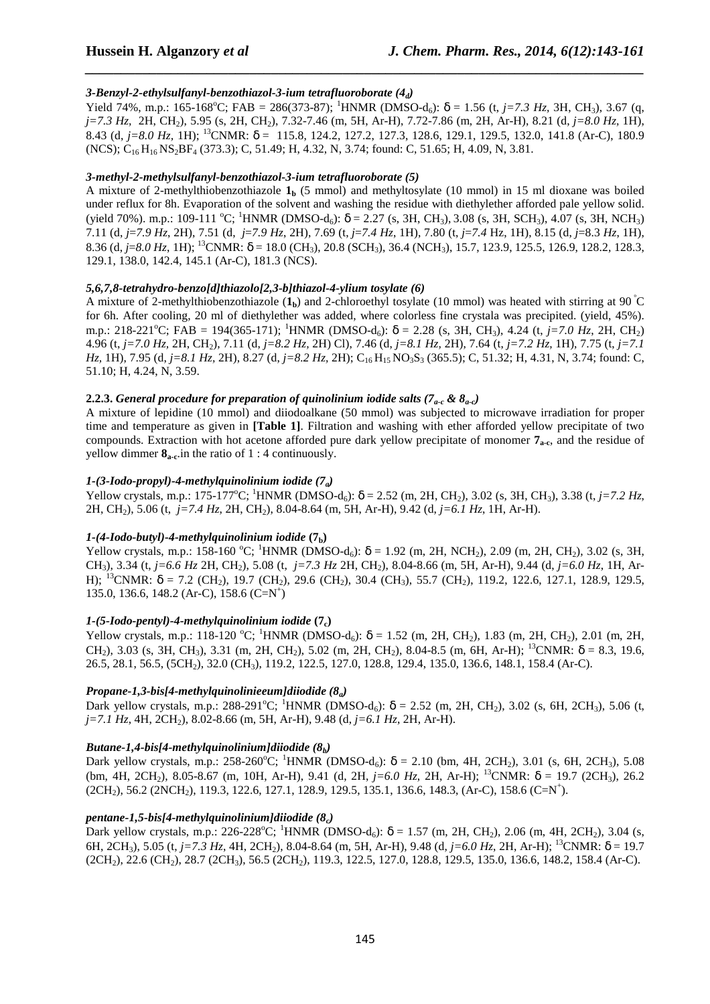# *3-Benzyl-2-ethylsulfanyl-benzothiazol-3-ium tetrafluoroborate (4d)*

Yield 74%, m.p.: 165-168°C; FAB = 286(373-87); <sup>1</sup>HNMR (DMSO-d<sub>6</sub>):  $\delta$  = 1.56 (t, *j*=7.3 Hz, 3H, CH<sub>3</sub>), 3.67 (q, *j=7.3 Hz,* 2H, CH2), 5.95 (s, 2H, CH2), 7.32-7.46 (m, 5H, Ar-H), 7.72-7.86 (m, 2H, Ar-H), 8.21 (d, *j=8.0 Hz,* 1H), 8.43 (d, *j=8.0 Hz,* 1H); <sup>13</sup>CNMR: δ = 115.8, 124.2, 127.2, 127.3, 128.6, 129.1, 129.5, 132.0, 141.8 (Ar-C), 180.9 (NCS); C<sub>16</sub> H<sub>16</sub> NS<sub>2</sub>BF<sub>4</sub> (373.3); C, 51.49; H, 4.32, N, 3.74; found: C, 51.65; H, 4.09, N, 3.81.

*\_\_\_\_\_\_\_\_\_\_\_\_\_\_\_\_\_\_\_\_\_\_\_\_\_\_\_\_\_\_\_\_\_\_\_\_\_\_\_\_\_\_\_\_\_\_\_\_\_\_\_\_\_\_\_\_\_\_\_\_\_\_\_\_\_\_\_\_\_\_\_\_\_\_\_\_\_\_*

# *3-methyl-2-methylsulfanyl-benzothiazol-3-ium tetrafluoroborate (5)*

A mixture of 2-methylthiobenzothiazole  $\mathbf{1}_b$  (5 mmol) and methyltosylate (10 mmol) in 15 ml dioxane was boiled under reflux for 8h. Evaporation of the solvent and washing the residue with diethylether afforded pale yellow solid. (yield 70%). m.p.: 109-111 °C; <sup>1</sup>HNMR (DMSO-d<sub>6</sub>):  $\delta = 2.27$  (s, 3H, CH<sub>3</sub>), 3.08 (s, 3H, SCH<sub>3</sub>), 4.07 (s, 3H, NCH<sub>3</sub>) 7.11 (d, *j*=*7.9 Hz*, 2H), 7.51 (d, *j*=*7.9 Hz*, 2H), 7.69 (t, *j*=*7.4 Hz*, 1H), 7.80 (t, *j*=*7.4* Hz, 1H), 8.15 (d, *j*=8.3 *Hz*, 1H), 8.36 (d,  $j=8.0$  *Hz*, 1H); <sup>13</sup>CNMR:  $\delta = 18.0$  (CH<sub>3</sub>), 20.8 (SCH<sub>3</sub>), 36.4 (NCH<sub>3</sub>), 15.7, 123.9, 125.5, 126.9, 128.2, 128.3, 129.1, 138.0, 142.4, 145.1 (Ar-C), 181.3 (NCS).

# *5,6,7,8-tetrahydro-benzo[d]thiazolo[2,3-b]thiazol-4-ylium tosylate (6)*

A mixture of 2-methylthiobenzothiazole  $(1<sub>b</sub>)$  and 2-chloroethyl tosylate (10 mmol) was heated with stirring at 90<sup>°</sup>C for 6h. After cooling, 20 ml of diethylether was added, where colorless fine crystala was precipited. (yield, 45%). m.p.: 218-221<sup>o</sup>C; FAB = 194(365-171); <sup>1</sup>HNMR (DMSO-d<sub>6</sub>):  $\delta$  = 2.28 (s, 3H, CH<sub>3</sub>), 4.24 (t, *j*=7.0 Hz, 2H, CH<sub>2</sub>) 4.96 (t, *j=7.0 Hz,* 2H, CH2), 7.11 (d, *j=8.2 Hz,* 2H) Cl), 7.46 (d, *j=8.1 Hz,* 2H), 7.64 (t, *j=7.2 Hz,* 1H), 7.75 (t, *j=7.1 Hz*, 1H), 7.95 (d, *j*=8.1 *Hz*, 2H), 8.27 (d, *j*=8.2 *Hz*, 2H); C<sub>16</sub> H<sub>15</sub> NO<sub>3</sub>S<sub>3</sub> (365.5); C, 51.32; H, 4.31, N, 3.74; found: C, 51.10; H, 4.24, N, 3.59.

# **2.2.3.** General procedure for preparation of quinolinium iodide salts ( $7<sub>a-c</sub>$  &  $8<sub>a-c</sub>$ )

A mixture of lepidine (10 mmol) and diiodoalkane (50 mmol) was subjected to microwave irradiation for proper time and temperature as given in **[Table 1]**. Filtration and washing with ether afforded yellow precipitate of two compounds. Extraction with hot acetone afforded pure dark yellow precipitate of monomer **7a-c**, and the residue of yellow dimmer  $\mathbf{8}_{\text{a-c}}$ , in the ratio of 1 : 4 continuously.

# *1-(3-Iodo-propyl)-4-methylquinolinium iodide (7a)*

Yellow crystals, m.p.: 175-177<sup>o</sup>C; <sup>1</sup>HNMR (DMSO-d<sub>6</sub>):  $\delta = 2.52$  (m, 2H, CH<sub>2</sub>), 3.02 (s, 3H, CH<sub>3</sub>), 3.38 (t, *j*=7.2 Hz, 2H, CH2), 5.06 (t, *j=7.4 Hz*, 2H, CH2), 8.04-8.64 (m, 5H, Ar-H), 9.42 (d, *j=6.1 Hz*, 1H, Ar-H).

# *1-(4-Iodo-butyl)-4-methylquinolinium iodide* **(7b)**

Yellow crystals, m.p.: 158-160 °C; <sup>1</sup>HNMR (DMSO-d<sub>6</sub>):  $\delta = 1.92$  (m, 2H, NCH<sub>2</sub>), 2.09 (m, 2H, CH<sub>2</sub>), 3.02 (s, 3H, CH<sub>3</sub>), 3.34 (t, *j*=6.6 Hz 2H, CH<sub>2</sub>), 5.08 (t, *j*=7.3 Hz 2H, CH<sub>2</sub>), 8.04-8.66 (m, 5H, Ar-H), 9.44 (d, *j*=6.0 Hz, 1H, Ar-H); <sup>13</sup>CNMR:  $\delta$  = 7.2 (CH<sub>2</sub>), 19.7 (CH<sub>2</sub>), 29.6 (CH<sub>2</sub>), 30.4 (CH<sub>3</sub>), 55.7 (CH<sub>2</sub>), 119.2, 122.6, 127.1, 128.9, 129.5, 135.0, 136.6, 148.2 (Ar-C), 158.6 (C=N<sup>+</sup>)

### *1-(5-Iodo-pentyl)-4-methylquinolinium iodide* **(7c)**

Yellow crystals, m.p.: 118-120 °C; <sup>1</sup>HNMR (DMSO-d<sub>6</sub>):  $\delta = 1.52$  (m, 2H, CH<sub>2</sub>), 1.83 (m, 2H, CH<sub>2</sub>), 2.01 (m, 2H, CH<sub>2</sub>), 3.03 (s, 3H, CH<sub>3</sub>), 3.31 (m, 2H, CH<sub>2</sub>), 5.02 (m, 2H, CH<sub>2</sub>), 8.04-8.5 (m, 6H, Ar-H); <sup>13</sup>CNMR:  $\delta = 8.3$ , 19.6, 26.5, 28.1, 56.5, (5CH2), 32.0 (CH3), 119.2, 122.5, 127.0, 128.8, 129.4, 135.0, 136.6, 148.1, 158.4 (Ar-C).

# *Propane-1,3-bis[4-methylquinolinieeum]diiodide (8a)*

Dark yellow crystals, m.p.:  $288-291^{\circ}\text{C}$ ;  $^{1}$ HNMR (DMSO-d<sub>6</sub>):  $\delta = 2.52$  (m, 2H, CH<sub>2</sub>), 3.02 (s, 6H, 2CH<sub>3</sub>), 5.06 (t, *j*=7.*1 Hz*, 4H, 2CH<sub>2</sub>), 8.02-8.66 (m, 5H, Ar-H), 9.48 (d, *j*=6.*1 Hz*, 2H, Ar-H).

# *Butane-1,4-bis[4-methylquinolinium]diiodide (8b)*

Dark yellow crystals, m.p.: 258-260°C; <sup>1</sup>HNMR (DMSO-d<sub>6</sub>):  $\delta = 2.10$  (bm, 4H, 2CH<sub>2</sub>), 3.01 (s, 6H, 2CH<sub>3</sub>), 5.08 (bm, 4H, 2CH2), 8.05-8.67 (m, 10H, Ar-H), 9.41 (d, 2H, *j=6.0 Hz*, 2H, Ar-H); <sup>13</sup>CNMR: δ = 19.7 (2CH3), 26.2  $(2CH<sub>2</sub>)$ , 56.2  $(2NCH<sub>2</sub>)$ , 119.3, 122.6, 127.1, 128.9, 129.5, 135.1, 136.6, 148.3, (Ar-C), 158.6 (C=N<sup>+</sup>).

# *pentane-1,5-bis[4-methylquinolinium]diiodide (8c)*

Dark yellow crystals, m.p.: 226-228°C; <sup>1</sup>HNMR (DMSO-d<sub>6</sub>):  $\delta = 1.57$  (m, 2H, CH<sub>2</sub>), 2.06 (m, 4H, 2CH<sub>2</sub>), 3.04 (s, 6H, 2CH3), 5.05 (t, *j=7.3 Hz*, 4H, 2CH2), 8.04-8.64 (m, 5H, Ar-H), 9.48 (d, *j=6.0 Hz*, 2H, Ar-H); <sup>13</sup>CNMR: δ = 19.7 (2CH2), 22.6 (CH2), 28.7 (2CH3), 56.5 (2CH2), 119.3, 122.5, 127.0, 128.8, 129.5, 135.0, 136.6, 148.2, 158.4 (Ar-C).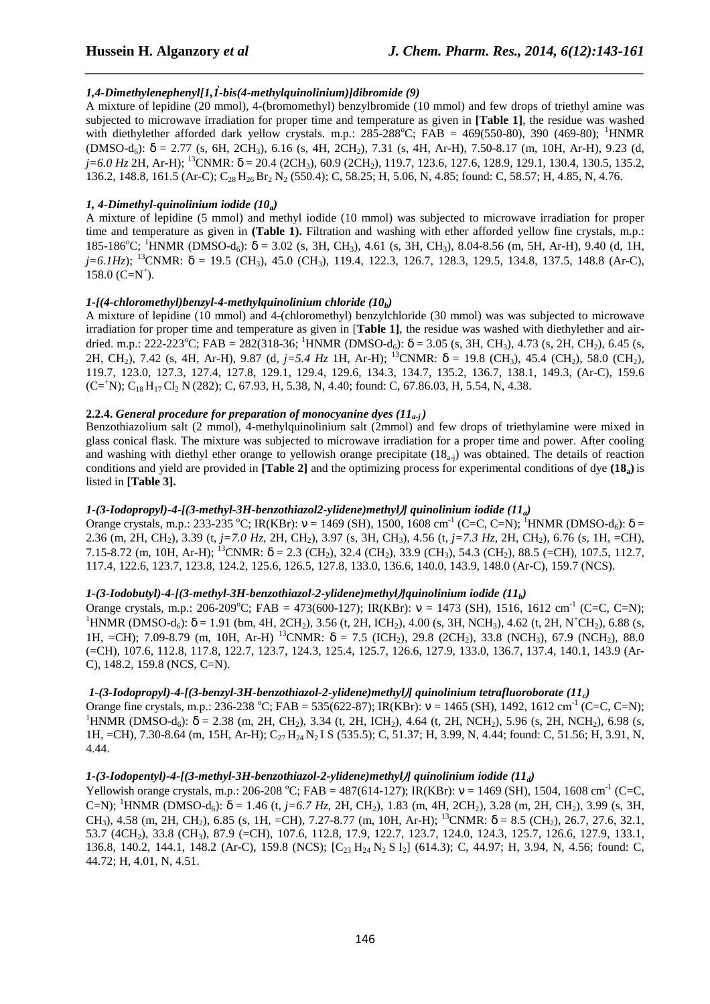# *1,4-Dimethylenephenyl[1,1-bis(4-methylquinolinium)]dibromide (9) ̀*

A mixture of lepidine (20 mmol), 4-(bromomethyl) benzylbromide (10 mmol) and few drops of triethyl amine was subjected to microwave irradiation for proper time and temperature as given in **[Table 1]**, the residue was washed with diethylether afforded dark yellow crystals. m.p.:  $285{\text -}288^{\circ}\text{C}$ ; FAB = 469(550-80), 390 (469-80); <sup>1</sup>HNMR  $(DMSO-d<sub>6</sub>)$ :  $\delta = 2.77$  (s, 6H, 2CH<sub>3</sub>), 6.16 (s, 4H, 2CH<sub>2</sub>), 7.31 (s, 4H, Ar-H), 7.50-8.17 (m, 10H, Ar-H), 9.23 (d,  $j=6.0$  Hz 2H, Ar-H); <sup>13</sup>CNMR:  $\delta$  = 20.4 (2CH<sub>3</sub>), 60.9 (2CH<sub>2</sub>), 119.7, 123.6, 127.6, 128.9, 129.1, 130.4, 130.5, 135.2, 136.2, 148.8, 161.5 (Ar-C);  $C_{28}H_{26}Br_2 N_2 (550.4)$ ; C, 58.25; H, 5.06, N, 4.85; found: C, 58.57; H, 4.85, N, 4.76.

*\_\_\_\_\_\_\_\_\_\_\_\_\_\_\_\_\_\_\_\_\_\_\_\_\_\_\_\_\_\_\_\_\_\_\_\_\_\_\_\_\_\_\_\_\_\_\_\_\_\_\_\_\_\_\_\_\_\_\_\_\_\_\_\_\_\_\_\_\_\_\_\_\_\_\_\_\_\_*

### *1, 4-Dimethyl-quinolinium iodide (10a)*

A mixture of lepidine (5 mmol) and methyl iodide (10 mmol) was subjected to microwave irradiation for proper time and temperature as given in **(Table 1).** Filtration and washing with ether afforded yellow fine crystals, m.p.: 185-186<sup>o</sup>C; <sup>1</sup>HNMR (DMSO-d<sub>6</sub>): δ = 3.02 (s, 3H, CH<sub>3</sub>), 4.61 (s, 3H, CH<sub>3</sub>), 8.04-8.56 (m, 5H, Ar-H), 9.40 (d, 1H,  $j=6.1Hz$ ); <sup>13</sup>CNMR:  $\delta = 19.5$  (CH<sub>3</sub>), 45.0 (CH<sub>3</sub>), 119.4, 122.3, 126.7, 128.3, 129.5, 134.8, 137.5, 148.8 (Ar-C),  $158.0$  (C=N<sup>+</sup>).

### *1-[(4-chloromethyl)benzyl-4-methylquinolinium chloride (10b)*

A mixture of lepidine (10 mmol) and 4-(chloromethyl) benzylchloride (30 mmol) was was subjected to microwave irradiation for proper time and temperature as given in [**Table 1]**, the residue was washed with diethylether and airdried. m.p.: 222-223<sup>o</sup>C; FAB = 282(318-36; <sup>1</sup>HNMR (DMSO-d<sub>6</sub>):  $\delta$  = 3.05 (s, 3H, CH<sub>3</sub>), 4.73 (s, 2H, CH<sub>2</sub>), 6.45 (s, 2H, CH<sub>2</sub>), 7.42 (s, 4H, Ar-H), 9.87 (d, *j*=5.4 Hz 1H, Ar-H); <sup>13</sup>CNMR: δ = 19.8 (CH<sub>3</sub>), 45.4 (CH<sub>2</sub>), 58.0 (CH<sub>2</sub>), 119.7, 123.0, 127.3, 127.4, 127.8, 129.1, 129.4, 129.6, 134.3, 134.7, 135.2, 136.7, 138.1, 149.3, (Ar-C), 159.6  $(C=^+N)$ ; C<sub>18</sub> H<sub>17</sub> Cl<sub>2</sub> N (282); C, 67.93, H, 5.38, N, 4.40; found: C, 67.86.03, H, 5.54, N, 4.38.

# **2.2.4.** General procedure for preparation of monocyanine dyes  $(11_{a,i})$

Benzothiazolium salt (2 mmol), 4-methylquinolinium salt (2mmol) and few drops of triethylamine were mixed in glass conical flask. The mixture was subjected to microwave irradiation for a proper time and power. After cooling and washing with diethyl ether orange to yellowish orange precipitate  $(18_{\text{ai}})$  was obtained. The details of reaction conditions and yield are provided in **[Table 2]** and the optimizing process for experimental conditions of dye **(18a)** is listed in **[Table 3].** 

### *1-(3-Iodopropyl)-4-[(3-methyl-3H-benzothiazol2-ylidene)methyl)] quinolinium iodide (11a)*

Orange crystals, m.p.: 233-235 °C; IR(KBr):  $v = 1469$  (SH), 1500, 1608 cm<sup>-1</sup> (C=C, C=N); <sup>1</sup>HNMR (DMSO-d<sub>6</sub>):  $\delta =$ 2.36 (m, 2H, CH2), 3.39 (t, *j=7.0 Hz*, 2H, CH2), 3.97 (s, 3H, CH3), 4.56 (t, *j=7.3 Hz*, 2H, CH2), 6.76 (s, 1H, =CH), 7.15-8.72 (m, 10H, Ar-H); <sup>13</sup>CNMR;  $\delta = 2.3$  (CH<sub>2</sub>), 32.4 (CH<sub>2</sub>), 33.9 (CH<sub>3</sub>), 54.3 (CH<sub>2</sub>), 88.5 (=CH), 107.5, 112.7, 117.4, 122.6, 123.7, 123.8, 124.2, 125.6, 126.5, 127.8, 133.0, 136.6, 140.0, 143.9, 148.0 (Ar-C), 159.7 (NCS).

### *1-(3-Iodobutyl)-4-[(3-methyl-3H-benzothiazol-2-ylidene)methyl)]quinolinium iodide (11b)*

Orange crystals, m.p.: 206-209<sup>o</sup>C; FAB = 473(600-127); IR(KBr):  $v = 1473$  (SH), 1516, 1612 cm<sup>-1</sup> (C=C, C=N); <sup>1</sup>HNMR (DMSO-d<sub>6</sub>):  $\delta = 1.91$  (bm, 4H, 2CH<sub>2</sub>), 3.56 (t, 2H, ICH<sub>2</sub>), 4.00 (s, 3H, NCH<sub>3</sub>), 4.62 (t, 2H, N<sup>+</sup>CH<sub>2</sub>), 6.88 (s, 1H, =CH); 7.09-8.79 (m, 10H, Ar-H) <sup>13</sup>CNMR;  $\delta = 7.5$  (ICH<sub>2</sub>), 29.8 (2CH<sub>2</sub>), 33.8 (NCH<sub>3</sub>), 67.9 (NCH<sub>2</sub>), 88.0 (=CH), 107.6, 112.8, 117.8, 122.7, 123.7, 124.3, 125.4, 125.7, 126.6, 127.9, 133.0, 136.7, 137.4, 140.1, 143.9 (Ar-C), 148.2, 159.8 (NCS, C=N).

### *1-(3-Iodopropyl)-4-[(3-benzyl-3H-benzothiazol-2-ylidene)methyl)] quinolinium tetrafluoroborate (11c)*

Orange fine crystals, m.p.: 236-238 °C; FAB = 535(622-87); IR(KBr):  $v = 1465$  (SH), 1492, 1612 cm<sup>-1</sup> (C=C, C=N); <sup>1</sup>HNMR (DMSO-d<sub>6</sub>):  $\delta$  = 2.38 (m, 2H, CH<sub>2</sub>), 3.34 (t, 2H, ICH<sub>2</sub>), 4.64 (t, 2H, NCH<sub>2</sub>), 5.96 (s, 2H, NCH<sub>2</sub>), 6.98 (s, 1H, =CH), 7.30-8.64 (m, 15H, Ar-H); C<sub>27</sub> H<sub>24</sub> N<sub>2</sub> I S (535.5); C, 51.37; H, 3.99, N, 4.44; found: C, 51.56; H, 3.91, N, 4.44.

## *1-(3-Iodopentyl)-4-[(3-methyl-3H-benzothiazol-2-ylidene)methyl)] quinolinium iodide (11d)*

Yellowish orange crystals, m.p.: 206-208 °C; FAB = 487(614-127); IR(KBr):  $v = 1469$  (SH), 1504, 1608 cm<sup>-1</sup> (C=C, C=N); <sup>1</sup>HNMR (DMSO-d<sub>6</sub>):  $\delta$  = 1.46 (t, *j*=6.7 Hz, 2H, CH<sub>2</sub>), 1.83 (m, 4H, 2CH<sub>2</sub>), 3.28 (m, 2H, CH<sub>2</sub>), 3.99 (s, 3H, CH<sub>3</sub>), 4.58 (m, 2H, CH<sub>2</sub>), 6.85 (s, 1H, =CH), 7.27-8.77 (m, 10H, Ar-H); <sup>13</sup>CNMR:  $\delta$  = 8.5 (CH<sub>2</sub>), 26.7, 27.6, 32.1, 53.7 (4CH2), 33.8 (CH3), 87.9 (=CH), 107.6, 112.8, 17.9, 122.7, 123.7, 124.0, 124.3, 125.7, 126.6, 127.9, 133.1, 136.8, 140.2, 144.1, 148.2 (Ar-C), 159.8 (NCS); [C<sub>23</sub> H<sub>24</sub> N<sub>2</sub> S I<sub>2</sub>] (614.3); C, 44.97; H, 3.94, N, 4.56; found: C, 44.72; H, 4.01, N, 4.51.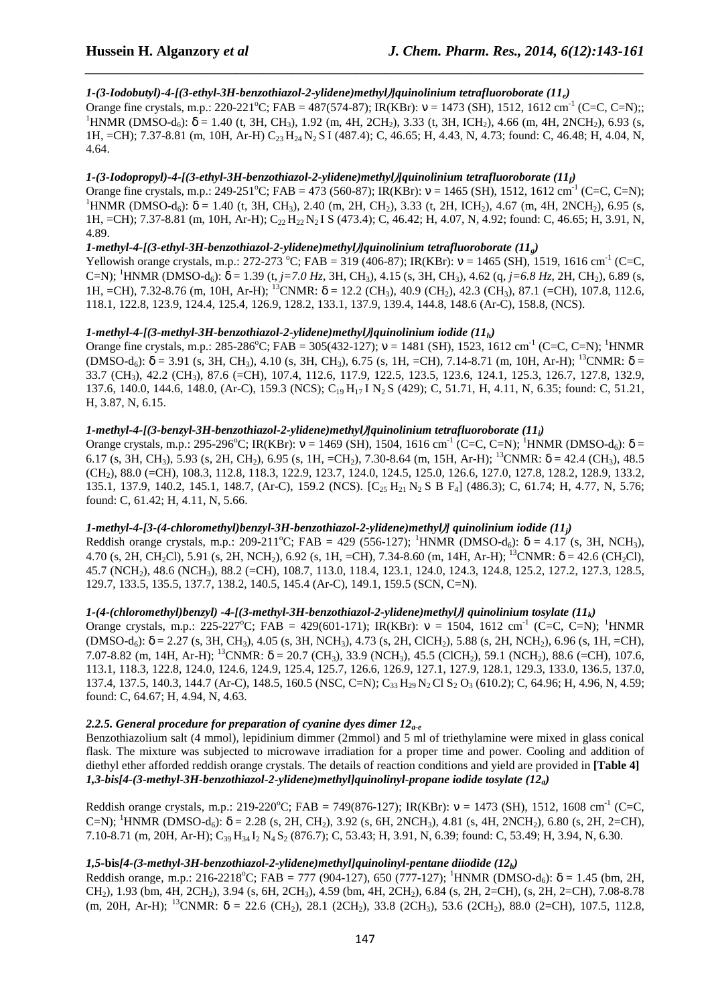# *1-(3-Iodobutyl)-4-[(3-ethyl-3H-benzothiazol-2-ylidene)methyl)]quinolinium tetrafluoroborate (11e)*

Orange fine crystals, m.p.: 220-221<sup>o</sup>C; FAB = 487(574-87); IR(KBr):  $v = 1473$  (SH), 1512, 1612 cm<sup>-1</sup> (C=C, C=N);; <sup>1</sup>HNMR (DMSO-d<sub>6</sub>):  $\delta$  = 1.40 (t, 3H, CH<sub>3</sub>), 1.92 (m, 4H, 2CH<sub>2</sub>), 3.33 (t, 3H, ICH<sub>2</sub>), 4.66 (m, 4H, 2NCH<sub>2</sub>), 6.93 (s, 1H, =CH); 7.37-8.81 (m, 10H, Ar-H) C23 H24 N2 S I (487.4); C, 46.65; H, 4.43, N, 4.73; found: C, 46.48; H, 4.04, N, 4.64.

*\_\_\_\_\_\_\_\_\_\_\_\_\_\_\_\_\_\_\_\_\_\_\_\_\_\_\_\_\_\_\_\_\_\_\_\_\_\_\_\_\_\_\_\_\_\_\_\_\_\_\_\_\_\_\_\_\_\_\_\_\_\_\_\_\_\_\_\_\_\_\_\_\_\_\_\_\_\_*

# *1-(3-Iodopropyl)-4-[(3-ethyl-3H-benzothiazol-2-ylidene)methyl)]quinolinium tetrafluoroborate (11f)*

Orange fine crystals, m.p.: 249-251<sup>o</sup>C; FAB = 473 (560-87); IR(KBr):  $v = 1465$  (SH), 1512, 1612 cm<sup>-1</sup> (C=C, C=N); <sup>1</sup>HNMR (DMSO-d<sub>6</sub>):  $\delta = 1.40$  (t, 3H, CH<sub>3</sub>), 2.40 (m, 2H, CH<sub>2</sub>), 3.33 (t, 2H, ICH<sub>2</sub>), 4.67 (m, 4H, 2NCH<sub>2</sub>), 6.95 (s, 1H, =CH); 7.37-8.81 (m, 10H, Ar-H); C<sub>22</sub> H<sub>22</sub> N<sub>2</sub> I S (473.4); C, 46.42; H, 4.07, N, 4.92; found: C, 46.65; H, 3.91, N, 4.89.

# *1-methyl-4-[(3-ethyl-3H-benzothiazol-2-ylidene)methyl)]quinolinium tetrafluoroborate (11g)*

Yellowish orange crystals, m.p.: 272-273 °C; FAB = 319 (406-87); IR(KBr):  $v = 1465$  (SH), 1519, 1616 cm<sup>-1</sup> (C=C, C=N); <sup>1</sup>HNMR (DMSO-d<sub>6</sub>): δ = 1.39 (t, *j*=7.0 Hz, 3H, CH<sub>3</sub>), 4.15 (s, 3H, CH<sub>3</sub>), 4.62 (q, *j*=6.8 Hz, 2H, CH<sub>2</sub>), 6.89 (s, 1H, =CH), 7.32-8.76 (m, 10H, Ar-H); <sup>13</sup>CNMR:  $\delta$  = 12.2 (CH<sub>3</sub>), 40.9 (CH<sub>2</sub>), 42.3 (CH<sub>3</sub>), 87.1 (=CH), 107.8, 112.6, 118.1, 122.8, 123.9, 124.4, 125.4, 126.9, 128.2, 133.1, 137.9, 139.4, 144.8, 148.6 (Ar-C), 158.8, (NCS).

# *1-methyl-4-[(3-methyl-3H-benzothiazol-2-ylidene)methyl)]quinolinium iodide (11h)*

Orange fine crystals, m.p.: 285-286<sup>o</sup>C; FAB = 305(432-127);  $v = 1481$  (SH), 1523, 1612 cm<sup>-1</sup> (C=C, C=N); <sup>1</sup>HNMR (DMSO-d<sub>6</sub>): δ = 3.91 (s, 3H, CH<sub>3</sub>), 4.10 (s, 3H, CH<sub>3</sub>), 6.75 (s, 1H, =CH), 7.14-8.71 (m, 10H, Ar-H); <sup>13</sup>CNMR: δ = 33.7 (CH<sub>3</sub>), 42.2 (CH<sub>3</sub>), 87.6 (=CH), 107.4, 112.6, 117.9, 122.5, 123.5, 123.6, 124.1, 125.3, 126.7, 127.8, 132.9, 137.6, 140.0, 144.6, 148.0, (Ar-C), 159.3 (NCS); C<sub>19</sub> H<sub>17</sub> I N<sub>2</sub> S (429); C, 51.71, H, 4.11, N, 6.35; found: C, 51.21, H, 3.87, N, 6.15.

### *1-methyl-4-[(3-benzyl-3H-benzothiazol-2-ylidene)methyl)]quinolinium tetrafluoroborate (11i)*

Orange crystals, m.p.: 295-296<sup>o</sup>C; IR(KBr):  $v = 1469$  (SH), 1504, 1616 cm<sup>-1</sup> (C=C, C=N); <sup>1</sup>HNMR (DMSO-d<sub>6</sub>):  $\delta =$ 6.17 (s, 3H, CH<sub>3</sub>), 5.93 (s, 2H, CH<sub>2</sub>), 6.95 (s, 1H, =CH<sub>2</sub>), 7.30-8.64 (m, 15H, Ar-H); <sup>13</sup>CNMR:  $\delta$  = 42.4 (CH<sub>3</sub>), 48.5 (CH2), 88.0 (=CH), 108.3, 112.8, 118.3, 122.9, 123.7, 124.0, 124.5, 125.0, 126.6, 127.0, 127.8, 128.2, 128.9, 133.2, 135.1, 137.9, 140.2, 145.1, 148.7, (Ar-C), 159.2 (NCS). [C<sub>25</sub> H<sub>21</sub> N<sub>2</sub> S B F<sub>4</sub>] (486.3); C, 61.74; H, 4.77, N, 5.76; found: C, 61.42; H, 4.11, N, 5.66.

## *1-methyl-4-[3-(4-chloromethyl)benzyl-3H-benzothiazol-2-ylidene)methyl)] quinolinium iodide (11j)*

Reddish orange crystals, m.p.: 209-211°C; FAB = 429 (556-127); <sup>1</sup>HNMR (DMSO-d<sub>6</sub>):  $\delta$  = 4.17 (s, 3H, NCH<sub>3</sub>), 4.70 (s, 2H, CH<sub>2</sub>Cl), 5.91 (s, 2H, NCH<sub>2</sub>), 6.92 (s, 1H, =CH), 7.34-8.60 (m, 14H, Ar-H); <sup>13</sup>CNMR:  $\delta$  = 42.6 (CH<sub>2</sub>Cl), 45.7 (NCH2), 48.6 (NCH3), 88.2 (=CH), 108.7, 113.0, 118.4, 123.1, 124.0, 124.3, 124.8, 125.2, 127.2, 127.3, 128.5, 129.7, 133.5, 135.5, 137.7, 138.2, 140.5, 145.4 (Ar-C), 149.1, 159.5 (SCN, C=N).

### *1-(4-(chloromethyl)benzyl) -4-[(3-methyl-3H-benzothiazol-2-ylidene)methyl)] quinolinium tosylate (11k)*

Orange crystals, m.p.: 225-227°C; FAB = 429(601-171); IR(KBr):  $v = 1504$ , 1612 cm<sup>-1</sup> (C=C, C=N); <sup>1</sup>HNMR  $(DMSO-d<sub>6</sub>)$ :  $\delta = 2.27$  (s, 3H, CH<sub>3</sub>), 4.05 (s, 3H, NCH<sub>3</sub>), 4.73 (s, 2H, ClCH<sub>2</sub>), 5.88 (s, 2H, NCH<sub>2</sub>), 6.96 (s, 1H, =CH), 7.07-8.82 (m, 14H, Ar-H); <sup>13</sup>CNMR:  $\delta$  = 20.7 (CH<sub>3</sub>), 33.9 (NCH<sub>3</sub>), 45.5 (ClCH<sub>2</sub>), 59.1 (NCH<sub>2</sub>), 88.6 (=CH), 107.6, 113.1, 118.3, 122.8, 124.0, 124.6, 124.9, 125.4, 125.7, 126.6, 126.9, 127.1, 127.9, 128.1, 129.3, 133.0, 136.5, 137.0, 137.4, 137.5, 140.3, 144.7 (Ar-C), 148.5, 160.5 (NSC, C=N); C<sub>33</sub> H<sub>29</sub> N<sub>2</sub> Cl S<sub>2</sub> O<sub>3</sub> (610.2); C, 64.96; H, 4.96, N, 4.59; found: C, 64.67; H, 4.94, N, 4.63.

# *2.2.5. General procedure for preparation of cyanine dyes dimer 12a-e*

Benzothiazolium salt (4 mmol), lepidinium dimmer (2mmol) and 5 ml of triethylamine were mixed in glass conical flask. The mixture was subjected to microwave irradiation for a proper time and power. Cooling and addition of diethyl ether afforded reddish orange crystals. The details of reaction conditions and yield are provided in **[Table 4]** *1,3-bis[4-(3-methyl-3H-benzothiazol-2-ylidene)methyl]quinolinyl-propane iodide tosylate (12a)* 

Reddish orange crystals, m.p.: 219-220°C; FAB = 749(876-127); IR(KBr):  $v = 1473$  (SH), 1512, 1608 cm<sup>-1</sup> (C=C, C=N); <sup>1</sup>HNMR (DMSO-d<sub>6</sub>):  $\delta$  = 2.28 (s, 2H, CH<sub>2</sub>), 3.92 (s, 6H, 2NCH<sub>3</sub>), 4.81 (s, 4H, 2NCH<sub>2</sub>), 6.80 (s, 2H, 2=CH), 7.10-8.71 (m, 20H, Ar-H); C<sub>39</sub> H<sub>34</sub> I<sub>2</sub> N<sub>4</sub> S<sub>2</sub> (876.7); C, 53.43; H, 3.91, N, 6.39; found: C, 53.49; H, 3.94, N, 6.30.

### *1,5-***bis***[4-(3-methyl-3H-benzothiazol-2-ylidene)methyl]quinolinyl-pentane diiodide (12b)*

Reddish orange, m.p.: 216-2218°C; FAB = 777 (904-127), 650 (777-127); <sup>1</sup>HNMR (DMSO-d<sub>6</sub>):  $\delta$  = 1.45 (bm, 2H, CH2), 1.93 (bm, 4H, 2CH2), 3.94 (s, 6H, 2CH3), 4.59 (bm, 4H, 2CH2), 6.84 (s, 2H, 2=CH), (s, 2H, 2=CH), 7.08-8.78 (m, 20H, Ar-H); <sup>13</sup>CNMR:  $\delta$  = 22.6 (CH<sub>2</sub>), 28.1 (2CH<sub>2</sub>), 33.8 (2CH<sub>3</sub>), 53.6 (2CH<sub>2</sub>), 88.0 (2=CH), 107.5, 112.8,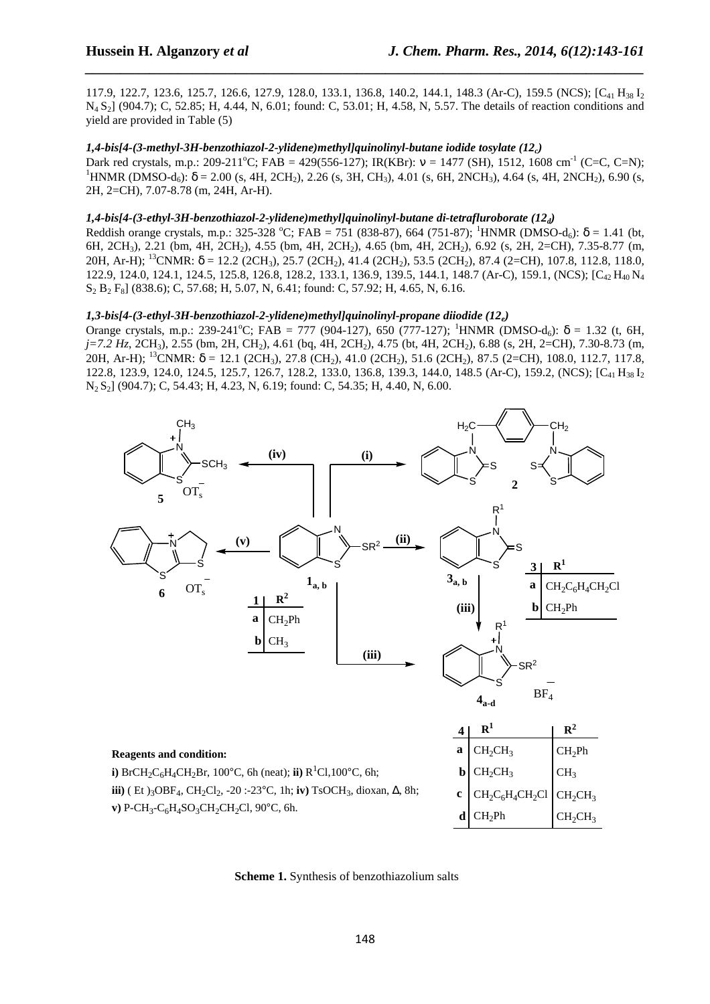117.9, 122.7, 123.6, 125.7, 126.6, 127.9, 128.0, 133.1, 136.8, 140.2, 144.1, 148.3 (Ar-C), 159.5 (NCS); [C<sub>41</sub> H<sub>38</sub> I<sub>2</sub> N<sub>4</sub> S<sub>2</sub>] (904.7); C, 52.85; H, 4.44, N, 6.01; found: C, 53.01; H, 4.58, N, 5.57. The details of reaction conditions and yield are provided in Table (5)

*\_\_\_\_\_\_\_\_\_\_\_\_\_\_\_\_\_\_\_\_\_\_\_\_\_\_\_\_\_\_\_\_\_\_\_\_\_\_\_\_\_\_\_\_\_\_\_\_\_\_\_\_\_\_\_\_\_\_\_\_\_\_\_\_\_\_\_\_\_\_\_\_\_\_\_\_\_\_*

# *1,4-bis[4-(3-methyl-3H-benzothiazol-2-ylidene)methyl]quinolinyl-butane iodide tosylate (12c)*

Dark red crystals, m.p.: 209-211<sup>o</sup>C; FAB = 429(556-127); IR(KBr):  $v = 1477$  (SH), 1512, 1608 cm<sup>-1</sup> (C=C, C=N); <sup>1</sup>HNMR (DMSO-d<sub>6</sub>):  $\delta$  = 2.00 (s, 4H, 2CH<sub>2</sub>), 2.26 (s, 3H, CH<sub>3</sub>), 4.01 (s, 6H, 2NCH<sub>3</sub>), 4.64 (s, 4H, 2NCH<sub>2</sub>), 6.90 (s, 2H, 2=CH), 7.07-8.78 (m, 24H, Ar-H).

# *1,4-bis[4-(3-ethyl-3H-benzothiazol-2-ylidene)methyl]quinolinyl-butane di-tetrafluroborate (12d)*

Reddish orange crystals, m.p.: 325-328 °C; FAB = 751 (838-87), 664 (751-87); <sup>1</sup>HNMR (DMSO-d<sub>6</sub>):  $\delta$  = 1.41 (bt, 6H, 2CH<sub>3</sub>), 2.21 (bm, 4H, 2CH<sub>2</sub>), 4.55 (bm, 4H, 2CH<sub>2</sub>), 4.65 (bm, 4H, 2CH<sub>2</sub>), 6.92 (s, 2H, 2=CH), 7.35-8.77 (m, 20H, Ar-H); <sup>13</sup>CNMR:  $\delta$  = 12.2 (2CH<sub>3</sub>), 25.7 (2CH<sub>2</sub>), 41.4 (2CH<sub>2</sub>), 53.5 (2CH<sub>2</sub>), 87.4 (2=CH), 107.8, 112.8, 118.0, 122.9, 124.0, 124.1, 124.5, 125.8, 126.8, 128.2, 133.1, 136.9, 139.5, 144.1, 148.7 (Ar-C), 159.1, (NCS);  $[C_4, H_{40} N_4]$  $S_2 B_2 F_8$ ] (838.6); C, 57.68; H, 5.07, N, 6.41; found: C, 57.92; H, 4.65, N, 6.16.

# *1,3-bis[4-(3-ethyl-3H-benzothiazol-2-ylidene)methyl]quinolinyl-propane diiodide (12e)*

Orange crystals, m.p.: 239-241<sup>o</sup>C; FAB = 777 (904-127), 650 (777-127); <sup>1</sup>HNMR (DMSO-d<sub>6</sub>): δ = 1.32 (t, 6H, *j*=7.2 Hz, 2CH<sub>3</sub>), 2.55 (bm, 2H, CH<sub>2</sub>), 4.61 (bq, 4H, 2CH<sub>2</sub>), 4.75 (bt, 4H, 2CH<sub>2</sub>), 6.88 (s, 2H, 2=CH), 7.30-8.73 (m, 20H, Ar-H); <sup>13</sup>CNMR:  $\delta$  = 12.1 (2CH<sub>3</sub>), 27.8 (CH<sub>2</sub>), 41.0 (2CH<sub>2</sub>), 51.6 (2CH<sub>2</sub>), 87.5 (2=CH), 108.0, 112.7, 117.8, 122.8, 123.9, 124.0, 124.5, 125.7, 126.7, 128.2, 133.0, 136.8, 139.3, 144.0, 148.5 (Ar-C), 159.2, (NCS); [C<sub>41</sub> H<sub>38</sub> I<sub>2</sub> N2 S2] (904.7); C, 54.43; H, 4.23, N, 6.19; found: C, 54.35; H, 4.40, N, 6.00.



**Scheme 1.** Synthesis of benzothiazolium salts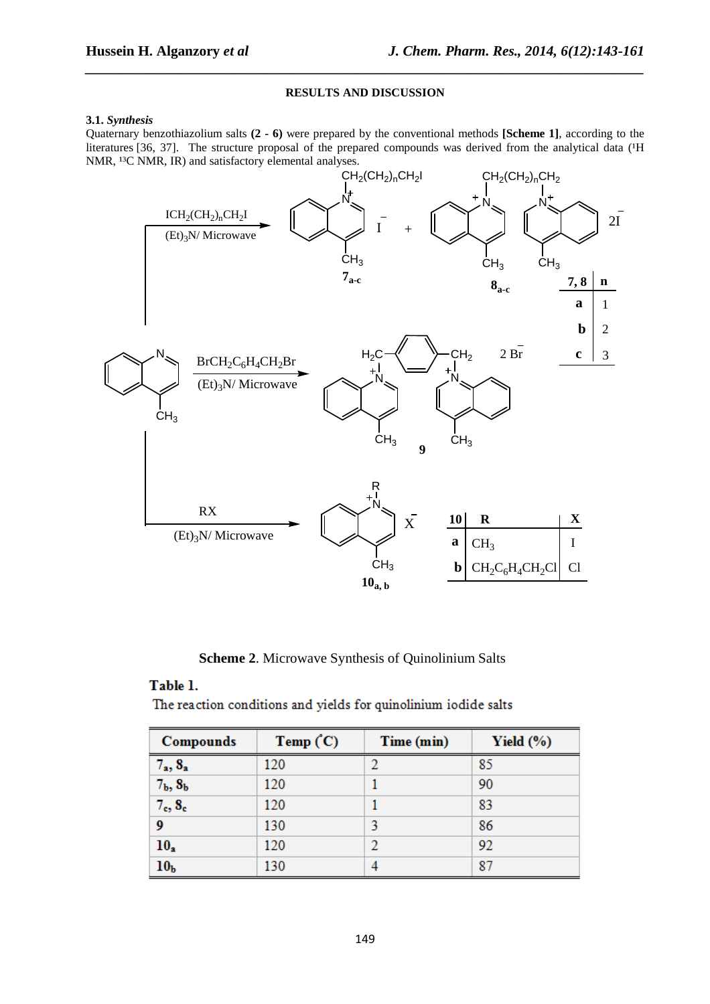# **RESULTS AND DISCUSSION**

*\_\_\_\_\_\_\_\_\_\_\_\_\_\_\_\_\_\_\_\_\_\_\_\_\_\_\_\_\_\_\_\_\_\_\_\_\_\_\_\_\_\_\_\_\_\_\_\_\_\_\_\_\_\_\_\_\_\_\_\_\_\_\_\_\_\_\_\_\_\_\_\_\_\_\_\_\_\_*

### **3.1.** *Synthesis*

Quaternary benzothiazolium salts **(2 - 6)** were prepared by the conventional methods **[Scheme 1]**, according to the literatures [36, 37]. The structure proposal of the prepared compounds was derived from the analytical data ( $H$ NMR, <sup>13</sup>C NMR, IR) and satisfactory elemental analyses.



**Scheme 2**. Microwave Synthesis of Quinolinium Salts

# Table 1.

The reaction conditions and yields for quinolinium iodide salts

| Compounds                       | Temp $(C)$ | Time (min) | Yield $(\% )$ |
|---------------------------------|------------|------------|---------------|
| $7_a, 8_a$                      | 120        |            | 85            |
| $7b$ , $8b$                     | 120        |            | 90            |
| 7 <sub>c</sub> , 8 <sub>c</sub> | 120        |            | 83            |
| 9                               | 130        | 2          | 86            |
| $10_a$                          | 120        | 2          | 92            |
| 10 <sub>b</sub>                 | 130        |            | 87            |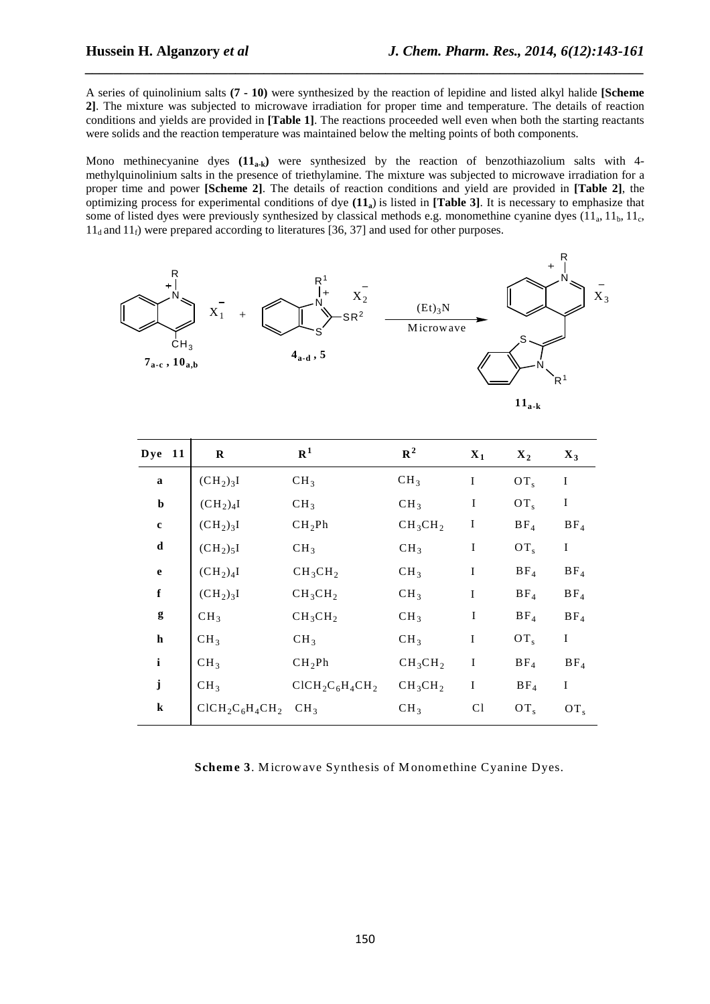A series of quinolinium salts **(7 - 10)** were synthesized by the reaction of lepidine and listed alkyl halide **[Scheme 2]**. The mixture was subjected to microwave irradiation for proper time and temperature. The details of reaction conditions and yields are provided in **[Table 1]**. The reactions proceeded well even when both the starting reactants were solids and the reaction temperature was maintained below the melting points of both components.

*\_\_\_\_\_\_\_\_\_\_\_\_\_\_\_\_\_\_\_\_\_\_\_\_\_\_\_\_\_\_\_\_\_\_\_\_\_\_\_\_\_\_\_\_\_\_\_\_\_\_\_\_\_\_\_\_\_\_\_\_\_\_\_\_\_\_\_\_\_\_\_\_\_\_\_\_\_\_*

Mono methinecyanine dyes **(11a-k)** were synthesized by the reaction of benzothiazolium salts with 4 methylquinolinium salts in the presence of triethylamine. The mixture was subjected to microwave irradiation for a proper time and power **[Scheme 2]**. The details of reaction conditions and yield are provided in **[Table 2]**, the optimizing process for experimental conditions of dye **(11a**) is listed in **[Table 3]**. It is necessary to emphasize that some of listed dyes were previously synthesized by classical methods e.g. monomethine cyanine dyes  $(11_a, 11_b, 11_c,$  $11_d$  and  $11_f$ ) were prepared according to literatures [36, 37] and used for other purposes.



Scheme 3. Microwave Synthesis of Monomethine Cyanine Dyes.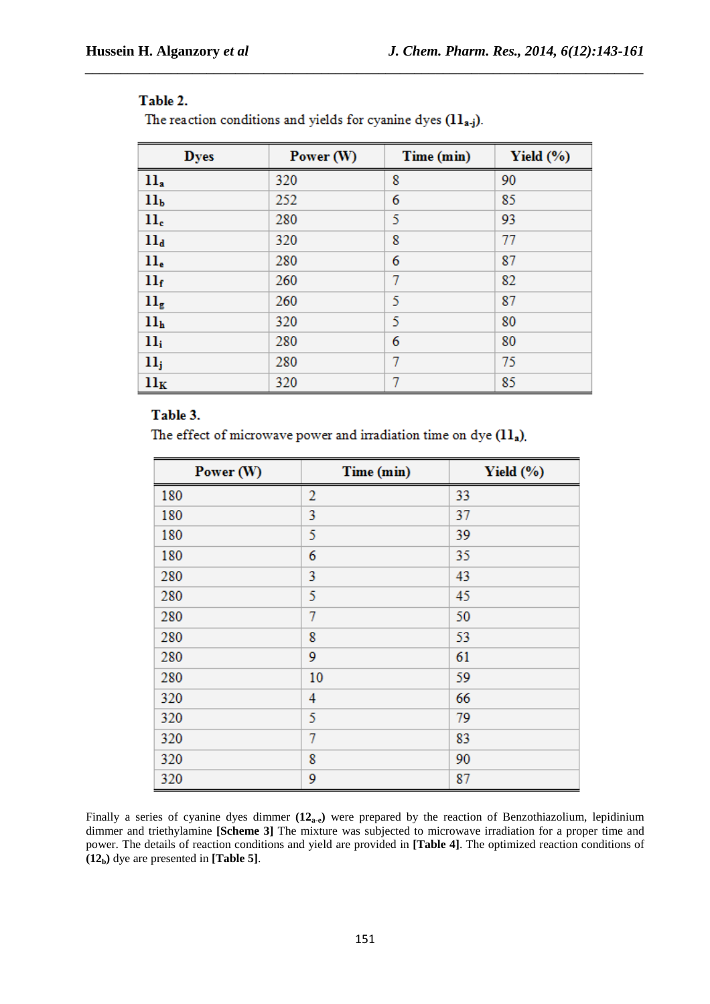# Table 2.

The reaction conditions and yields for cyanine dyes  $(11_{a,j})$ .

| <b>Dyes</b>                | Power (W) | Time (min) | Yield $(\% )$ |
|----------------------------|-----------|------------|---------------|
| $11_a$                     | 320       | 8          | 90            |
| 11 <sub>b</sub>            | 252       | 6          | 85            |
| $_{\rm 11_c}$              | 280       | 5          | 93            |
| 11 <sub>d</sub>            | 320       | 8          | 77            |
| $ll_e$                     | 280       | 6          | 87            |
| 11 <sub>f</sub>            | 260       | 7          | 82            |
| $\mathbf{ll}_{\mathsf{g}}$ | 260       | 5          | 87            |
| 11 <sub>h</sub>            | 320       | 5          | 80            |
| $11_i$                     | 280       | 6          | 80            |
| 11 <sub>j</sub>            | 280       | 7          | 75            |
| $11_K$                     | 320       | 7          | 85            |

*\_\_\_\_\_\_\_\_\_\_\_\_\_\_\_\_\_\_\_\_\_\_\_\_\_\_\_\_\_\_\_\_\_\_\_\_\_\_\_\_\_\_\_\_\_\_\_\_\_\_\_\_\_\_\_\_\_\_\_\_\_\_\_\_\_\_\_\_\_\_\_\_\_\_\_\_\_\_*

# Table 3.

The effect of microwave power and irradiation time on dye  $(11_a)$ .

| Power (W) | Time (min)     | Yield $(\% )$ |
|-----------|----------------|---------------|
| 180       | $\overline{2}$ | 33            |
| 180       | 3              | 37            |
| 180       | 5              | 39            |
| 180       | 6              | 35            |
| 280       | 3              | 43            |
| 280       | 5              | 45            |
| 280       | 7              | 50            |
| 280       | 8              | 53            |
| 280       | 9              | 61            |
| 280       | 10             | 59            |
| 320       | 4              | 66            |
| 320       | 5              | 79            |
| 320       | 7              | 83            |
| 320       | 8              | 90            |
| 320       | 9              | 87            |

Finally a series of cyanine dyes dimmer **(12a-e)** were prepared by the reaction of Benzothiazolium, lepidinium dimmer and triethylamine **[Scheme 3]** The mixture was subjected to microwave irradiation for a proper time and power. The details of reaction conditions and yield are provided in **[Table 4]**. The optimized reaction conditions of **(12b)** dye are presented in **[Table 5]**.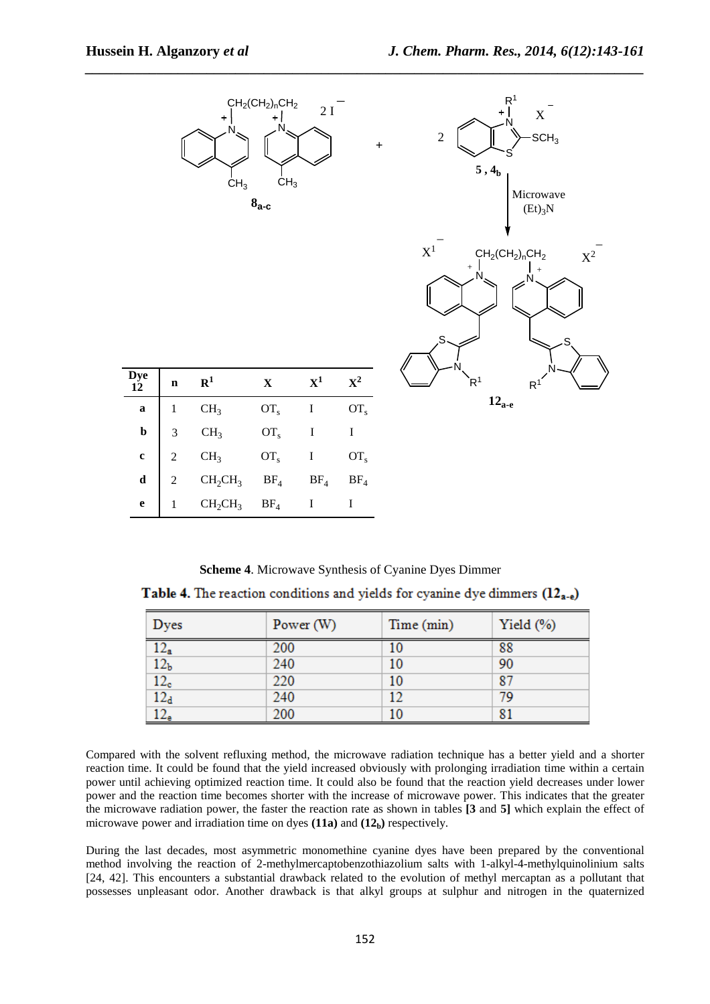

**Scheme 4**. Microwave Synthesis of Cyanine Dyes Dimmer Table 4. The reaction conditions and yields for cyanine dye dimmers  $(12<sub>a-e</sub>)$ 

| Dyes                | Power $(W)$ | Time (min) | Yield $(\%)$ |
|---------------------|-------------|------------|--------------|
| $12_a$              | 200         | 10         | 88           |
| 12 <sub>b</sub>     | 240         | 10         | 90           |
| $\frac{12_c}{12_d}$ | 220         | 10         | 87           |
|                     | 240         | 12         | 79           |
| 12 <sub>e</sub>     | 200         | 10         | 81           |

Compared with the solvent refluxing method, the microwave radiation technique has a better yield and a shorter reaction time. It could be found that the yield increased obviously with prolonging irradiation time within a certain power until achieving optimized reaction time. It could also be found that the reaction yield decreases under lower power and the reaction time becomes shorter with the increase of microwave power. This indicates that the greater the microwave radiation power, the faster the reaction rate as shown in tables **[3** and **5]** which explain the effect of microwave power and irradiation time on dyes  $(11a)$  and  $(12<sub>b</sub>)$  respectively.

During the last decades, most asymmetric monomethine cyanine dyes have been prepared by the conventional method involving the reaction of 2-methylmercaptobenzothiazolium salts with 1-alkyl-4-methylquinolinium salts [24, 42]. This encounters a substantial drawback related to the evolution of methyl mercaptan as a pollutant that possesses unpleasant odor. Another drawback is that alkyl groups at sulphur and nitrogen in the quaternized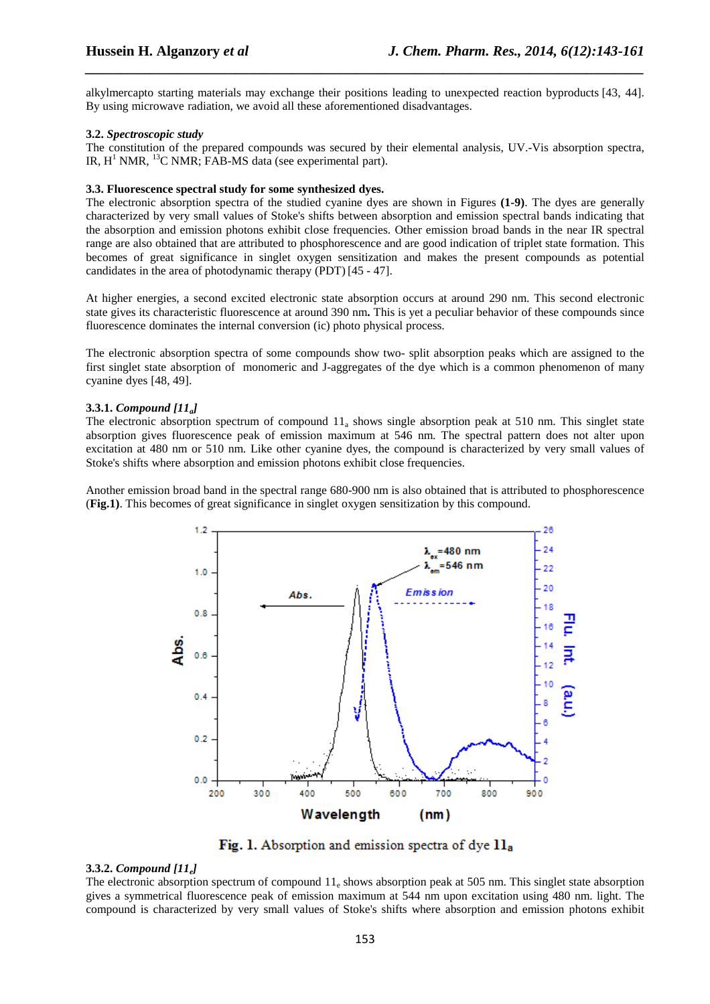alkylmercapto starting materials may exchange their positions leading to unexpected reaction byproducts [43, 44]. By using microwave radiation, we avoid all these aforementioned disadvantages.

*\_\_\_\_\_\_\_\_\_\_\_\_\_\_\_\_\_\_\_\_\_\_\_\_\_\_\_\_\_\_\_\_\_\_\_\_\_\_\_\_\_\_\_\_\_\_\_\_\_\_\_\_\_\_\_\_\_\_\_\_\_\_\_\_\_\_\_\_\_\_\_\_\_\_\_\_\_\_*

#### **3.2.** *Spectroscopic study*

The constitution of the prepared compounds was secured by their elemental analysis, UV.-Vis absorption spectra, IR,  $H^1$  NMR,  $^{13}$ C NMR; FAB-MS data (see experimental part).

# **3.3. Fluorescence spectral study for some synthesized dyes.**

The electronic absorption spectra of the studied cyanine dyes are shown in Figures **(1-9)**. The dyes are generally characterized by very small values of Stoke's shifts between absorption and emission spectral bands indicating that the absorption and emission photons exhibit close frequencies. Other emission broad bands in the near IR spectral range are also obtained that are attributed to phosphorescence and are good indication of triplet state formation. This becomes of great significance in singlet oxygen sensitization and makes the present compounds as potential candidates in the area of photodynamic therapy (PDT) [45 - 47].

At higher energies, a second excited electronic state absorption occurs at around 290 nm. This second electronic state gives its characteristic fluorescence at around 390 nm**.** This is yet a peculiar behavior of these compounds since fluorescence dominates the internal conversion (ic) photo physical process.

The electronic absorption spectra of some compounds show two- split absorption peaks which are assigned to the first singlet state absorption of monomeric and J-aggregates of the dye which is a common phenomenon of many cyanine dyes [48, 49].

#### **3.3.1.** *Compound [11a]*

The electronic absorption spectrum of compound  $11_a$  shows single absorption peak at 510 nm. This singlet state absorption gives fluorescence peak of emission maximum at 546 nm. The spectral pattern does not alter upon excitation at 480 nm or 510 nm. Like other cyanine dyes, the compound is characterized by very small values of Stoke's shifts where absorption and emission photons exhibit close frequencies.

Another emission broad band in the spectral range 680-900 nm is also obtained that is attributed to phosphorescence (**Fig.1)**. This becomes of great significance in singlet oxygen sensitization by this compound.



Fig. 1. Absorption and emission spectra of dye 11a

#### **3.3.2.** *Compound [11e]*

The electronic absorption spectrum of compound  $11_e$  shows absorption peak at 505 nm. This singlet state absorption gives a symmetrical fluorescence peak of emission maximum at 544 nm upon excitation using 480 nm. light. The compound is characterized by very small values of Stoke's shifts where absorption and emission photons exhibit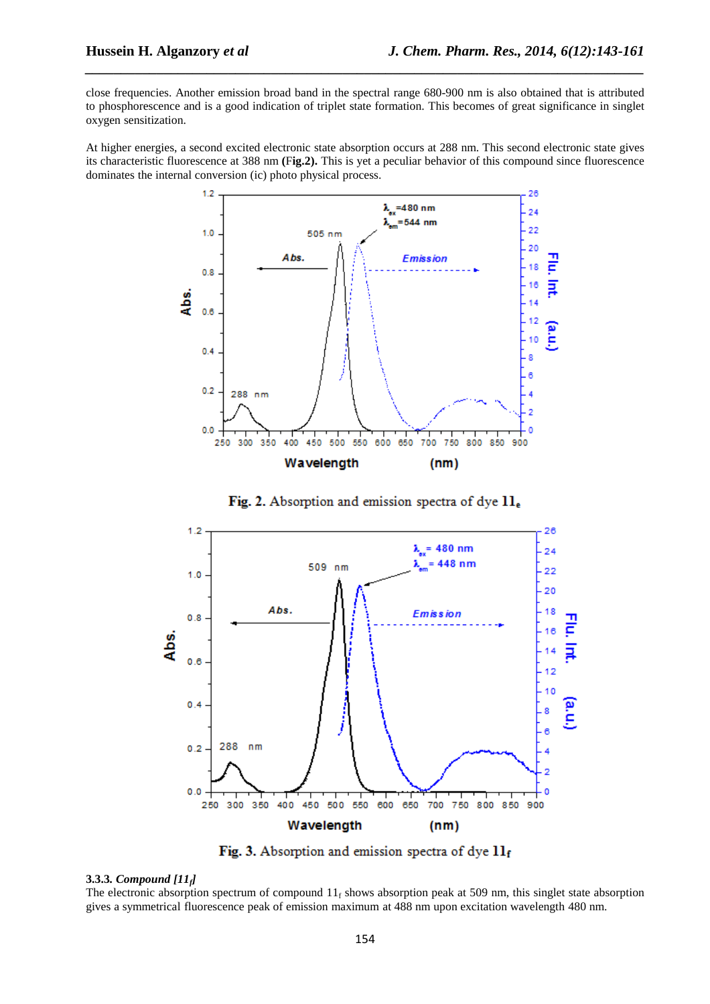close frequencies. Another emission broad band in the spectral range 680-900 nm is also obtained that is attributed to phosphorescence and is a good indication of triplet state formation. This becomes of great significance in singlet oxygen sensitization.

*\_\_\_\_\_\_\_\_\_\_\_\_\_\_\_\_\_\_\_\_\_\_\_\_\_\_\_\_\_\_\_\_\_\_\_\_\_\_\_\_\_\_\_\_\_\_\_\_\_\_\_\_\_\_\_\_\_\_\_\_\_\_\_\_\_\_\_\_\_\_\_\_\_\_\_\_\_\_*

At higher energies, a second excited electronic state absorption occurs at 288 nm. This second electronic state gives its characteristic fluorescence at 388 nm **(**F**ig.2).** This is yet a peculiar behavior of this compound since fluorescence dominates the internal conversion (ic) photo physical process.



Fig. 2. Absorption and emission spectra of dye 11.



Fig. 3. Absorption and emission spectra of dye  $11<sub>f</sub>$ 

#### **3.3.3***. Compound [11f]*

The electronic absorption spectrum of compound  $11_f$  shows absorption peak at 509 nm, this singlet state absorption gives a symmetrical fluorescence peak of emission maximum at 488 nm upon excitation wavelength 480 nm.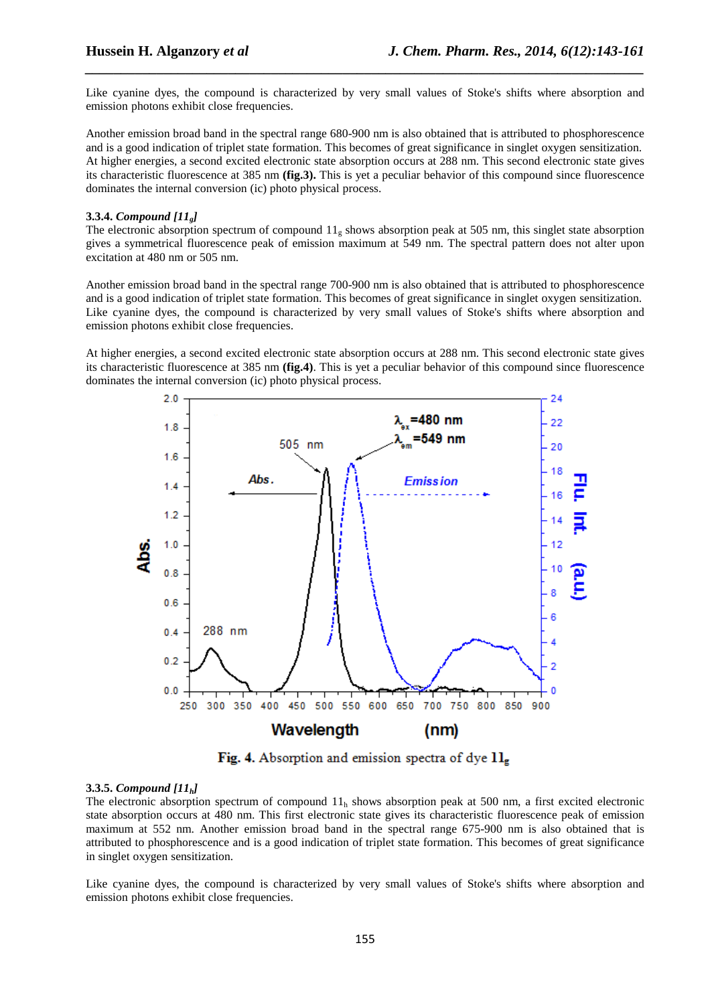Like cyanine dyes, the compound is characterized by very small values of Stoke's shifts where absorption and emission photons exhibit close frequencies.

*\_\_\_\_\_\_\_\_\_\_\_\_\_\_\_\_\_\_\_\_\_\_\_\_\_\_\_\_\_\_\_\_\_\_\_\_\_\_\_\_\_\_\_\_\_\_\_\_\_\_\_\_\_\_\_\_\_\_\_\_\_\_\_\_\_\_\_\_\_\_\_\_\_\_\_\_\_\_*

Another emission broad band in the spectral range 680-900 nm is also obtained that is attributed to phosphorescence and is a good indication of triplet state formation. This becomes of great significance in singlet oxygen sensitization. At higher energies, a second excited electronic state absorption occurs at 288 nm. This second electronic state gives its characteristic fluorescence at 385 nm **(fig.3).** This is yet a peculiar behavior of this compound since fluorescence dominates the internal conversion (ic) photo physical process.

#### **3.3.4.** *Compound [11g]*

The electronic absorption spectrum of compound  $11<sub>g</sub>$  shows absorption peak at 505 nm, this singlet state absorption gives a symmetrical fluorescence peak of emission maximum at 549 nm. The spectral pattern does not alter upon excitation at 480 nm or 505 nm.

Another emission broad band in the spectral range 700-900 nm is also obtained that is attributed to phosphorescence and is a good indication of triplet state formation. This becomes of great significance in singlet oxygen sensitization. Like cyanine dyes, the compound is characterized by very small values of Stoke's shifts where absorption and emission photons exhibit close frequencies.

At higher energies, a second excited electronic state absorption occurs at 288 nm. This second electronic state gives its characteristic fluorescence at 385 nm **(fig.4)**. This is yet a peculiar behavior of this compound since fluorescence dominates the internal conversion (ic) photo physical process.



Fig. 4. Absorption and emission spectra of dye  $1l_{\rm g}$ 

#### **3.3.5.** *Compound [11h]*

The electronic absorption spectrum of compound  $11<sub>h</sub>$  shows absorption peak at 500 nm, a first excited electronic state absorption occurs at 480 nm. This first electronic state gives its characteristic fluorescence peak of emission maximum at 552 nm. Another emission broad band in the spectral range 675-900 nm is also obtained that is attributed to phosphorescence and is a good indication of triplet state formation. This becomes of great significance in singlet oxygen sensitization.

Like cyanine dyes, the compound is characterized by very small values of Stoke's shifts where absorption and emission photons exhibit close frequencies.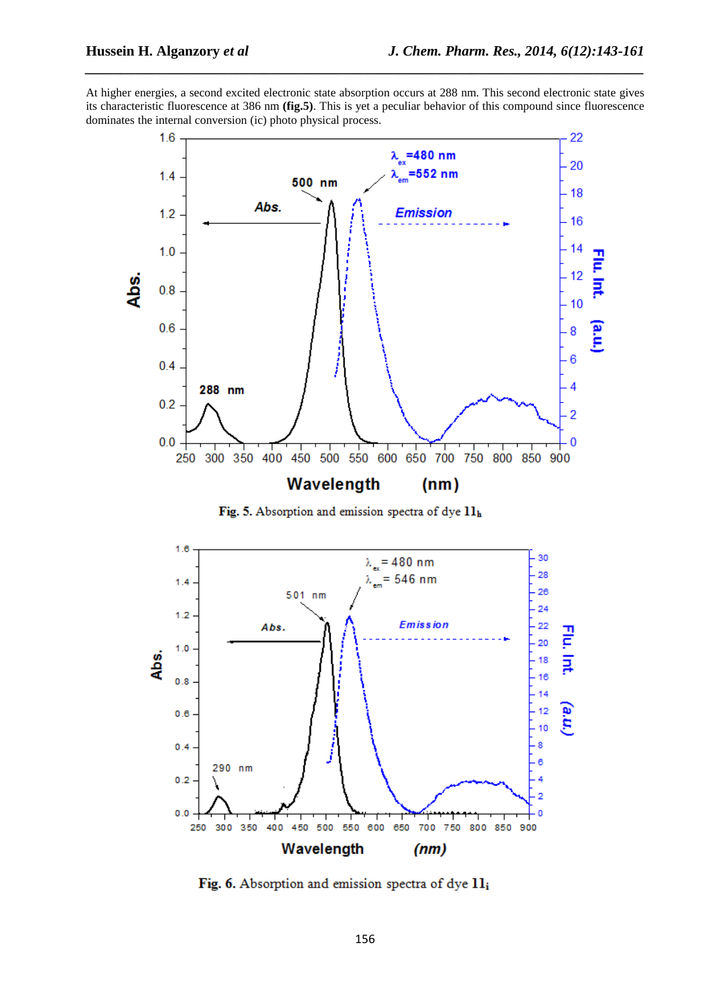At higher energies, a second excited electronic state absorption occurs at 288 nm. This second electronic state gives its characteristic fluorescence at 386 nm **(fig.5)**. This is yet a peculiar behavior of this compound since fluorescence dominates the internal conversion (ic) photo physical process.

*\_\_\_\_\_\_\_\_\_\_\_\_\_\_\_\_\_\_\_\_\_\_\_\_\_\_\_\_\_\_\_\_\_\_\_\_\_\_\_\_\_\_\_\_\_\_\_\_\_\_\_\_\_\_\_\_\_\_\_\_\_\_\_\_\_\_\_\_\_\_\_\_\_\_\_\_\_\_*



Fig. 5. Absorption and emission spectra of dye 11h



Fig. 6. Absorption and emission spectra of dye 11;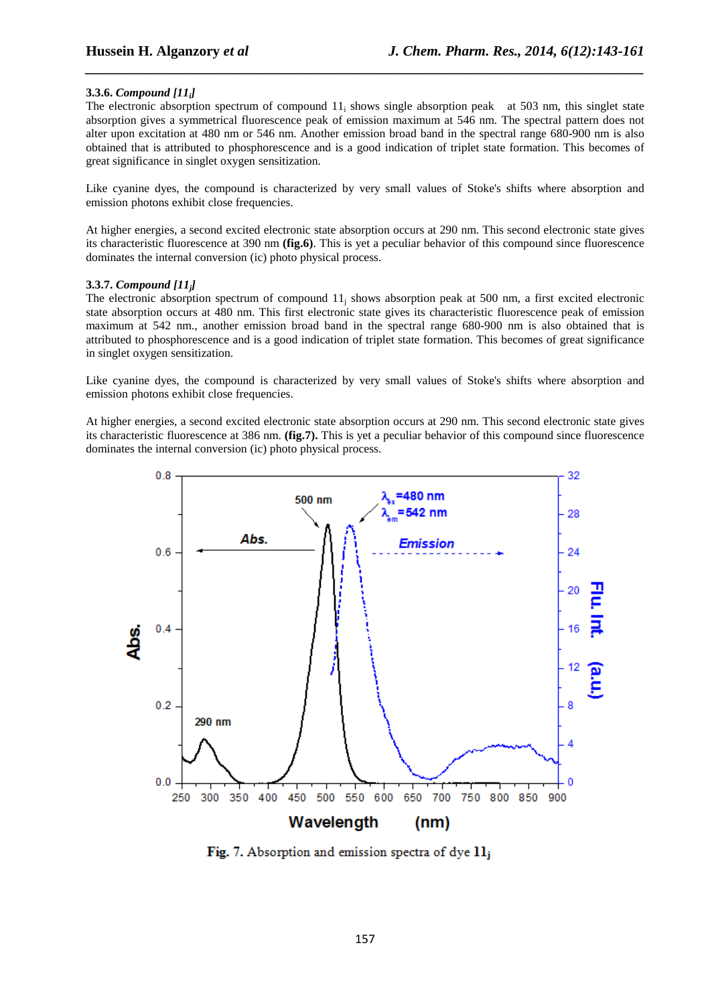### **3.3.6.** *Compound [11i]*

The electronic absorption spectrum of compound  $11<sub>i</sub>$  shows single absorption peak at 503 nm, this singlet state absorption gives a symmetrical fluorescence peak of emission maximum at 546 nm. The spectral pattern does not alter upon excitation at 480 nm or 546 nm. Another emission broad band in the spectral range 680-900 nm is also obtained that is attributed to phosphorescence and is a good indication of triplet state formation. This becomes of great significance in singlet oxygen sensitization.

*\_\_\_\_\_\_\_\_\_\_\_\_\_\_\_\_\_\_\_\_\_\_\_\_\_\_\_\_\_\_\_\_\_\_\_\_\_\_\_\_\_\_\_\_\_\_\_\_\_\_\_\_\_\_\_\_\_\_\_\_\_\_\_\_\_\_\_\_\_\_\_\_\_\_\_\_\_\_*

Like cyanine dyes, the compound is characterized by very small values of Stoke's shifts where absorption and emission photons exhibit close frequencies.

At higher energies, a second excited electronic state absorption occurs at 290 nm. This second electronic state gives its characteristic fluorescence at 390 nm **(fig.6)**. This is yet a peculiar behavior of this compound since fluorescence dominates the internal conversion (ic) photo physical process.

#### **3.3.7.** *Compound [11j]*

The electronic absorption spectrum of compound  $11<sub>j</sub>$  shows absorption peak at 500 nm, a first excited electronic state absorption occurs at 480 nm. This first electronic state gives its characteristic fluorescence peak of emission maximum at 542 nm., another emission broad band in the spectral range 680-900 nm is also obtained that is attributed to phosphorescence and is a good indication of triplet state formation. This becomes of great significance in singlet oxygen sensitization.

Like cyanine dyes, the compound is characterized by very small values of Stoke's shifts where absorption and emission photons exhibit close frequencies.

At higher energies, a second excited electronic state absorption occurs at 290 nm. This second electronic state gives its characteristic fluorescence at 386 nm. **(fig.7).** This is yet a peculiar behavior of this compound since fluorescence dominates the internal conversion (ic) photo physical process.



Fig. 7. Absorption and emission spectra of dye  $11<sub>i</sub>$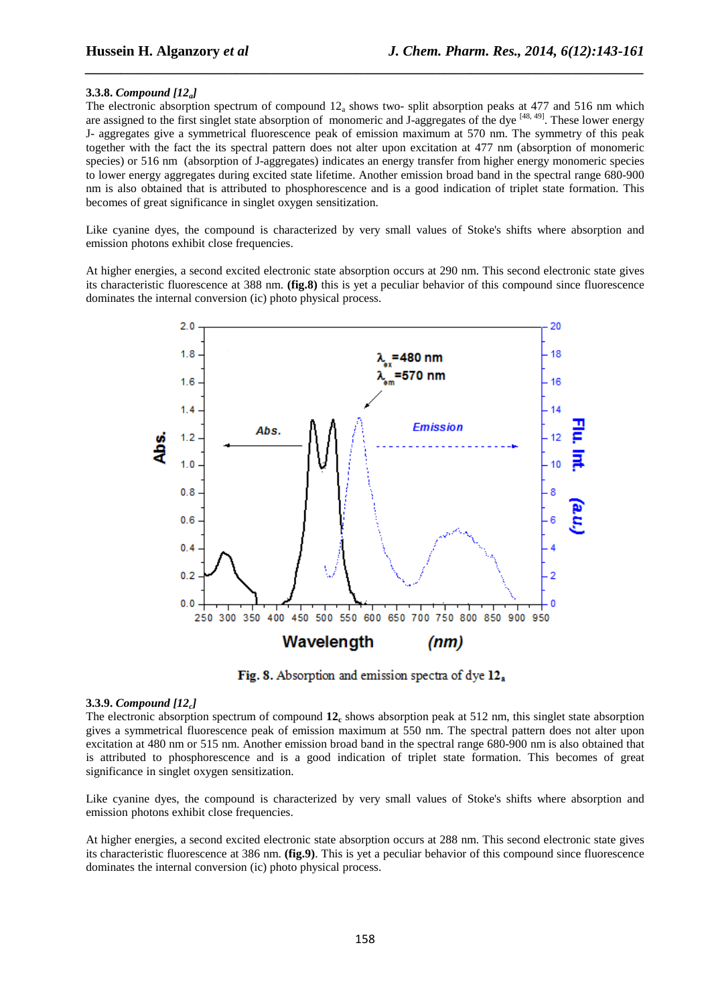#### **3.3.8.** *Compound [12a]*

The electronic absorption spectrum of compound  $12<sub>a</sub>$  shows two-split absorption peaks at 477 and 516 nm which are assigned to the first singlet state absorption of monomeric and J-aggregates of the dye  $[48, 49]$ . These lower energy J- aggregates give a symmetrical fluorescence peak of emission maximum at 570 nm. The symmetry of this peak together with the fact the its spectral pattern does not alter upon excitation at 477 nm (absorption of monomeric species) or 516 nm (absorption of J-aggregates) indicates an energy transfer from higher energy monomeric species to lower energy aggregates during excited state lifetime. Another emission broad band in the spectral range 680-900 nm is also obtained that is attributed to phosphorescence and is a good indication of triplet state formation. This becomes of great significance in singlet oxygen sensitization.

*\_\_\_\_\_\_\_\_\_\_\_\_\_\_\_\_\_\_\_\_\_\_\_\_\_\_\_\_\_\_\_\_\_\_\_\_\_\_\_\_\_\_\_\_\_\_\_\_\_\_\_\_\_\_\_\_\_\_\_\_\_\_\_\_\_\_\_\_\_\_\_\_\_\_\_\_\_\_*

Like cyanine dyes, the compound is characterized by very small values of Stoke's shifts where absorption and emission photons exhibit close frequencies.

At higher energies, a second excited electronic state absorption occurs at 290 nm. This second electronic state gives its characteristic fluorescence at 388 nm. **(fig.8)** this is yet a peculiar behavior of this compound since fluorescence dominates the internal conversion (ic) photo physical process.



Fig. 8. Absorption and emission spectra of dye 12.

#### **3.3.9.** *Compound [12c]*

The electronic absorption spectrum of compound  $12<sub>c</sub>$  shows absorption peak at 512 nm, this singlet state absorption gives a symmetrical fluorescence peak of emission maximum at 550 nm. The spectral pattern does not alter upon excitation at 480 nm or 515 nm. Another emission broad band in the spectral range 680-900 nm is also obtained that is attributed to phosphorescence and is a good indication of triplet state formation. This becomes of great significance in singlet oxygen sensitization.

Like cyanine dyes, the compound is characterized by very small values of Stoke's shifts where absorption and emission photons exhibit close frequencies.

At higher energies, a second excited electronic state absorption occurs at 288 nm. This second electronic state gives its characteristic fluorescence at 386 nm. **(fig.9)**. This is yet a peculiar behavior of this compound since fluorescence dominates the internal conversion (ic) photo physical process.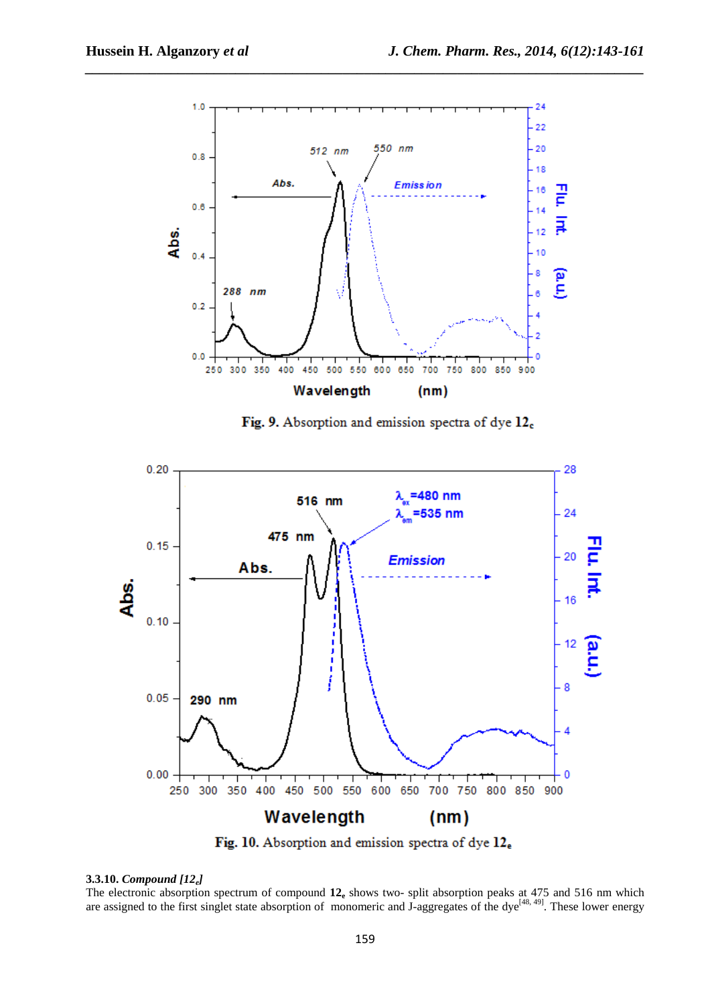

*\_\_\_\_\_\_\_\_\_\_\_\_\_\_\_\_\_\_\_\_\_\_\_\_\_\_\_\_\_\_\_\_\_\_\_\_\_\_\_\_\_\_\_\_\_\_\_\_\_\_\_\_\_\_\_\_\_\_\_\_\_\_\_\_\_\_\_\_\_\_\_\_\_\_\_\_\_\_*

Fig. 9. Absorption and emission spectra of dye 12<sub>c</sub>



Fig. 10. Absorption and emission spectra of dye 12.

# **3.3.10.** *Compound [12e]*

The electronic absorption spectrum of compound  $12<sub>e</sub>$  shows two- split absorption peaks at 475 and 516 nm which are assigned to the first singlet state absorption of monomeric and J-aggregates of the dye<sup>[48, 49]</sup>. These lower energy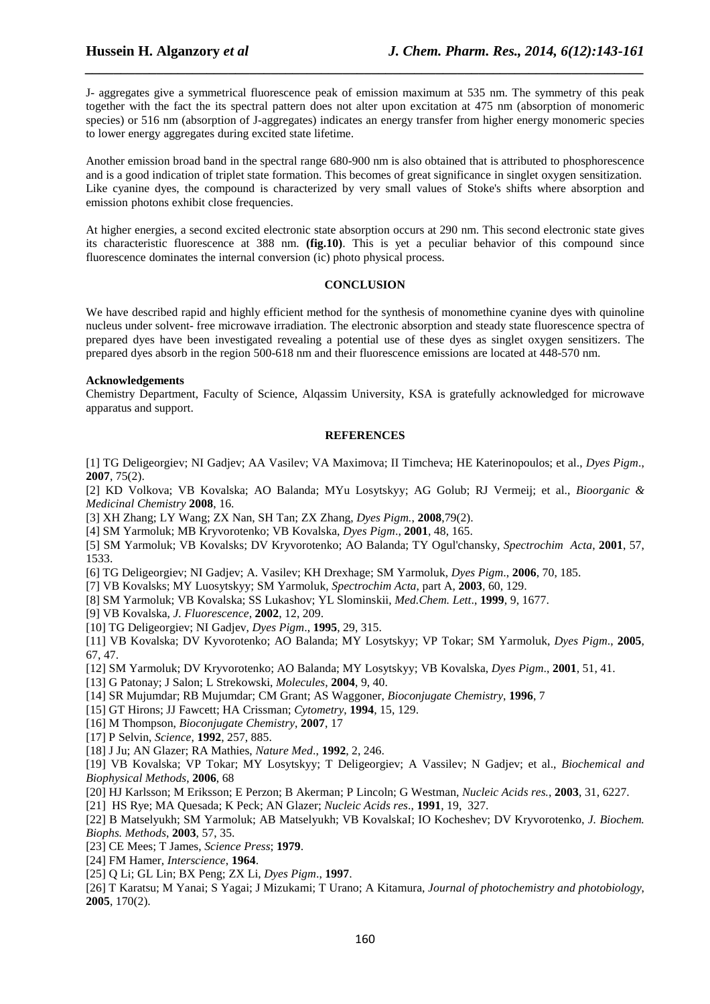J- aggregates give a symmetrical fluorescence peak of emission maximum at 535 nm. The symmetry of this peak together with the fact the its spectral pattern does not alter upon excitation at 475 nm (absorption of monomeric species) or 516 nm (absorption of J-aggregates) indicates an energy transfer from higher energy monomeric species to lower energy aggregates during excited state lifetime.

*\_\_\_\_\_\_\_\_\_\_\_\_\_\_\_\_\_\_\_\_\_\_\_\_\_\_\_\_\_\_\_\_\_\_\_\_\_\_\_\_\_\_\_\_\_\_\_\_\_\_\_\_\_\_\_\_\_\_\_\_\_\_\_\_\_\_\_\_\_\_\_\_\_\_\_\_\_\_*

Another emission broad band in the spectral range 680-900 nm is also obtained that is attributed to phosphorescence and is a good indication of triplet state formation. This becomes of great significance in singlet oxygen sensitization. Like cyanine dyes, the compound is characterized by very small values of Stoke's shifts where absorption and emission photons exhibit close frequencies.

At higher energies, a second excited electronic state absorption occurs at 290 nm. This second electronic state gives its characteristic fluorescence at 388 nm. **(fig.10)**. This is yet a peculiar behavior of this compound since fluorescence dominates the internal conversion (ic) photo physical process.

#### **CONCLUSION**

We have described rapid and highly efficient method for the synthesis of monomethine cyanine dyes with quinoline nucleus under solvent- free microwave irradiation. The electronic absorption and steady state fluorescence spectra of prepared dyes have been investigated revealing a potential use of these dyes as singlet oxygen sensitizers. The prepared dyes absorb in the region 500-618 nm and their fluorescence emissions are located at 448-570 nm.

#### **Acknowledgements**

Chemistry Department, Faculty of Science, Alqassim University, KSA is gratefully acknowledged for microwave apparatus and support.

#### **REFERENCES**

[1] TG Deligeorgiev; NI Gadjev; AA Vasilev; VA Maximova; II Timcheva; HE Katerinopoulos; et al., *Dyes Pigm*., **2007**, 75(2).

[2] KD Volkova; VB Kovalska; AO Balanda; MYu Losytskyy; AG Golub; RJ Vermeij; et al., *Bioorganic & Medicinal Chemistry* **2008**, 16.

[3] XH Zhang; LY Wang; ZX Nan, SH Tan; ZX Zhang, *Dyes Pigm.*, **2008**,79(2).

[4] SM Yarmoluk; MB Kryvorotenko; VB Kovalska, *Dyes Pigm*., **2001**, 48, 165.

[5] SM Yarmoluk; VB Kovalsks; DV Kryvorotenko; AO Balanda; TY Ogul'chansky, *Spectrochim Acta*, **2001**, 57, 1533.

[6] TG Deligeorgiev; NI Gadjev; A. Vasilev; KH Drexhage; SM Yarmoluk, *Dyes Pigm*., **2006**, 70, 185.

[7] VB Kovalsks; MY Luosytskyy; SM Yarmoluk, *Spectrochim Acta*, part A, **2003**, 60, 129.

- [8] SM Yarmoluk; VB Kovalska; SS Lukashov; YL Slominskii, *Med.Chem. Lett*., **1999**, 9, 1677.
- [9] VB Kovalska, *J. Fluorescence*, **2002**, 12, 209.
- [10] TG Deligeorgiev; NI Gadjev, *Dyes Pigm*., **1995**, 29, 315.

[11] VB Kovalska; DV Kyvorotenko; AO Balanda; MY Losytskyy; VP Tokar; SM Yarmoluk, *Dyes Pigm*., **2005**, 67, 47.

- [12] SM Yarmoluk; DV Kryvorotenko; AO Balanda; MY Losytskyy; VB Kovalska, *Dyes Pigm*., **2001**, 51, 41.
- [13] G Patonay; J Salon; L Strekowski, *Molecules*, **2004**, 9, 40.
- [14] SR Mujumdar; RB Mujumdar; CM Grant; AS Waggoner, *Bioconjugate Chemistry*, **1996**, 7
- [15] GT Hirons; JJ Fawcett; HA Crissman; *Cytometry*, **1994**, 15, 129.

[16] M Thompson, *Bioconjugate Chemistry*, **2007**, 17

- [17] P Selvin, *Science*, **1992**, 257, 885.
- [18] J Ju; AN Glazer; RA Mathies, *Nature Med*., **1992**, 2, 246.
- [19] VB Kovalska; VP Tokar; MY Losytskyy; T Deligeorgiev; A Vassilev; N Gadjev; et al., *Biochemical and Biophysical Methods*, **2006**, 68

[20] HJ Karlsson; M Eriksson; E Perzon; B Akerman; P Lincoln; G Westman, *Nucleic Acids res.*, **2003**, 31, 6227.

[21] HS Rye; MA Quesada; K Peck; AN Glazer; *Nucleic Acids res*., **1991**, 19, 327.

[22] B Matselyukh; SM Yarmoluk; AB Matselyukh; VB KovalskaI; IO Kocheshev; DV Kryvorotenko, *J. Biochem. Biophs. Methods*, **2003**, 57, 35.

[23] CE Mees; T James, *Science Press*; **1979**.

- [24] FM Hamer, *Interscience*, **1964**.
- [25] Q Li; GL Lin; BX Peng; ZX Li, *Dyes Pigm*., **1997**.

[26] T Karatsu; M Yanai; S Yagai; J Mizukami; T Urano; A Kitamura, *Journal of photochemistry and photobiology*, **2005**, 170(2).